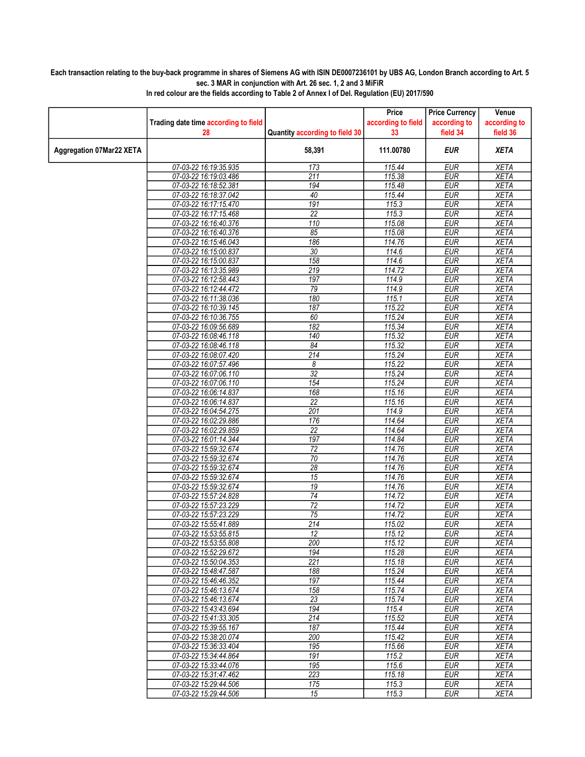## Each transaction relating to the buy-back programme in shares of Siemens AG with ISIN DE0007236101 by UBS AG, London Branch according to Art. 5 sec. 3 MAR in conjunction with Art. 26 sec. 1, 2 and 3 MiFiR

|                                 |                                                |                                | Price              | <b>Price Currency</b>    | Venue                      |
|---------------------------------|------------------------------------------------|--------------------------------|--------------------|--------------------------|----------------------------|
|                                 | Trading date time according to field           |                                | according to field | according to             | according to               |
|                                 | 28                                             | Quantity according to field 30 | 33                 | field 34                 | field 36                   |
|                                 |                                                |                                |                    |                          |                            |
| <b>Aggregation 07Mar22 XETA</b> |                                                | 58,391                         | 111.00780          | <b>EUR</b>               | <b>XETA</b>                |
|                                 | 07-03-22 16:19:35.935                          | 173                            | 115.44             | <b>EUR</b>               | <b>XETA</b>                |
|                                 | 07-03-22 16:19:03.486                          | $\overline{211}$               | 115.38             | <b>EUR</b>               | <b>XETA</b>                |
|                                 | 07-03-22 16:18:52.381                          | 194                            | 115.48             | <b>EUR</b>               | <b>XETA</b>                |
|                                 | 07-03-22 16:18:37.042                          | 40                             | 115.44             | <b>EUR</b>               | <b>XETA</b>                |
|                                 | 07-03-22 16:17:15.470                          | 191                            | 115.3              | <b>EUR</b>               | <b>XETA</b>                |
|                                 | 07-03-22 16:17:15.468                          | $\overline{22}$                | 115.3              | <b>EUR</b>               | <b>XETA</b>                |
|                                 | 07-03-22 16:16:40.376                          | 110                            | 115.08             | <b>EUR</b>               | <b>XETA</b>                |
|                                 | 07-03-22 16:16:40.376                          | 85                             | 115.08             | <b>EUR</b>               | <b>XETA</b>                |
|                                 | 07-03-22 16:15:46.043                          | 186                            | 114.76             | <b>EUR</b>               | <b>XETA</b>                |
|                                 | 07-03-22 16:15:00.837                          | 30                             | 114.6              | <b>EUR</b>               | <b>XETA</b>                |
|                                 | 07-03-22 16:15:00.837                          | 158                            | 114.6              | <b>EUR</b>               | <b>XETA</b>                |
|                                 | 07-03-22 16:13:35.989                          | 219                            | 114.72             | <b>EUR</b>               | <b>XETA</b>                |
|                                 | 07-03-22 16:12:58.443                          | 197                            | 114.9              | <b>EUR</b>               | <b>XETA</b>                |
|                                 | 07-03-22 16:12:44.472                          | 79                             | 114.9              | <b>EUR</b>               | <b>XETA</b>                |
|                                 | 07-03-22 16:11:38.036                          | 180                            | 115.1              | <b>EUR</b>               | <b>XETA</b>                |
|                                 | 07-03-22 16:10:39.145                          | 187                            | 115.22             | <b>EUR</b>               | <b>XETA</b>                |
|                                 | 07-03-22 16:10:36.755                          | 60                             | 115.24             | <b>EUR</b>               | <b>XETA</b>                |
|                                 | 07-03-22 16:09:56.689                          | 182                            | 115.34             | <b>EUR</b>               | <b>XETA</b>                |
|                                 | 07-03-22 16:08:46.118                          | 140                            | 115.32             | <b>EUR</b>               | <b>XETA</b>                |
|                                 | 07-03-22 16:08:46.118                          | 84                             | 115.32             | <b>EUR</b>               | <b>XETA</b>                |
|                                 | 07-03-22 16:08:07.420                          | 214                            | 115.24             | <b>EUR</b>               | <b>XETA</b>                |
|                                 | 07-03-22 16:07:57.496                          | 8                              | 115.22             | <b>EUR</b>               | <b>XETA</b>                |
|                                 | 07-03-22 16:07:06.110                          | $\overline{32}$                | 115.24             | <b>EUR</b>               | <b>XETA</b>                |
|                                 | 07-03-22 16:07:06.110                          | 154                            | 115.24             | <b>EUR</b>               | <b>XETA</b>                |
|                                 | 07-03-22 16:06:14.837                          | 168                            | 115.16             | <b>EUR</b>               | <b>XETA</b>                |
|                                 | 07-03-22 16:06:14.837                          | $\overline{22}$                | 115.16             | <b>EUR</b>               | <b>XETA</b>                |
|                                 | 07-03-22 16:04:54.275                          | 201                            | 114.9              | <b>EUR</b>               | <b>XETA</b>                |
|                                 | 07-03-22 16:02:29.886                          | 176                            | 114.64             | <b>EUR</b>               | <b>XETA</b>                |
|                                 | 07-03-22 16:02:29.859                          | $\overline{22}$                | 114.64             | <b>EUR</b>               | <b>XETA</b>                |
|                                 | 07-03-22 16:01:14.344                          | 197                            | 114.84             | <b>EUR</b>               | <b>XETA</b>                |
|                                 | 07-03-22 15:59:32.674                          | $\overline{72}$                | 114.76             | <b>EUR</b>               | <b>XETA</b>                |
|                                 | 07-03-22 15:59:32.674                          | 70                             | 114.76             | <b>EUR</b>               | <b>XETA</b>                |
|                                 | 07-03-22 15:59:32.674<br>07-03-22 15:59:32.674 | $\overline{28}$                | 114.76             | <b>EUR</b>               | <b>XETA</b>                |
|                                 |                                                | $\overline{15}$                | 114.76<br>114.76   | <b>EUR</b>               | <b>XETA</b>                |
|                                 | 07-03-22 15:59:32.674                          | 19<br>$\overline{74}$          | 114.72             | <b>EUR</b><br><b>EUR</b> | <b>XETA</b><br><b>XETA</b> |
|                                 | 07-03-22 15:57:24.828<br>07-03-22 15:57:23.229 | $\overline{72}$                | 114.72             | <b>EUR</b>               | <b>XETA</b>                |
|                                 | 07-03-22 15:57:23.229                          | 75                             | 114.72             | <b>EUR</b>               | <b>XETA</b>                |
|                                 | 07-03-22 15:55:41.889                          | 214                            | 115.02             | <b>EUR</b>               | XETA                       |
|                                 | 07-03-22 15:53:55.815                          | $\overline{12}$                | 115.12             | <b>EUR</b>               | <b>XETA</b>                |
|                                 | 07-03-22 15:53:55.808                          | 200                            | 115.12             | EUR                      | XETA                       |
|                                 | 07-03-22 15:52:29.672                          | 194                            | 115.28             | <b>EUR</b>               | <b>XETA</b>                |
|                                 | 07-03-22 15:50:04.353                          | 221                            | 115.18             | <b>EUR</b>               | <b>XETA</b>                |
|                                 | 07-03-22 15:48:47.587                          | 188                            | 115.24             | <b>EUR</b>               | <b>XETA</b>                |
|                                 | 07-03-22 15:46:46.352                          | 197                            | 115.44             | <b>EUR</b>               | <b>XETA</b>                |
|                                 | 07-03-22 15:46:13.674                          | 158                            | 115.74             | <b>EUR</b>               | <b>XETA</b>                |
|                                 | 07-03-22 15:46:13.674                          | 23                             | 115.74             | <b>EUR</b>               | <b>XETA</b>                |
|                                 | 07-03-22 15:43:43.694                          | 194                            | 115.4              | <b>EUR</b>               | <b>XETA</b>                |
|                                 | 07-03-22 15:41:33.305                          | 214                            | 115.52             | <b>EUR</b>               | <b>XETA</b>                |
|                                 | 07-03-22 15:39:55.167                          | 187                            | 115.44             | <b>EUR</b>               | <b>XETA</b>                |
|                                 | 07-03-22 15:38:20.074                          | 200                            | 115.42             | <b>EUR</b>               | <b>XETA</b>                |
|                                 | 07-03-22 15:36:33.404                          | 195                            | 115.66             | <b>EUR</b>               | <b>XETA</b>                |
|                                 | 07-03-22 15:34:44.864                          | 191                            | 115.2              | <b>EUR</b>               | <b>XETA</b>                |
|                                 | 07-03-22 15:33:44.076                          | 195                            | 115.6              | <b>EUR</b>               | <b>XETA</b>                |
|                                 | 07-03-22 15:31:47.462                          | 223                            | 115.18             | <b>EUR</b>               | <b>XETA</b>                |
|                                 | 07-03-22 15:29:44.506                          | 175                            | 115.3              | <b>EUR</b>               | <b>XETA</b>                |
|                                 | 07-03-22 15:29:44.506                          | 15                             | 115.3              | EUR                      | XETA                       |

In red colour are the fields according to Table 2 of Annex I of Del. Regulation (EU) 2017/590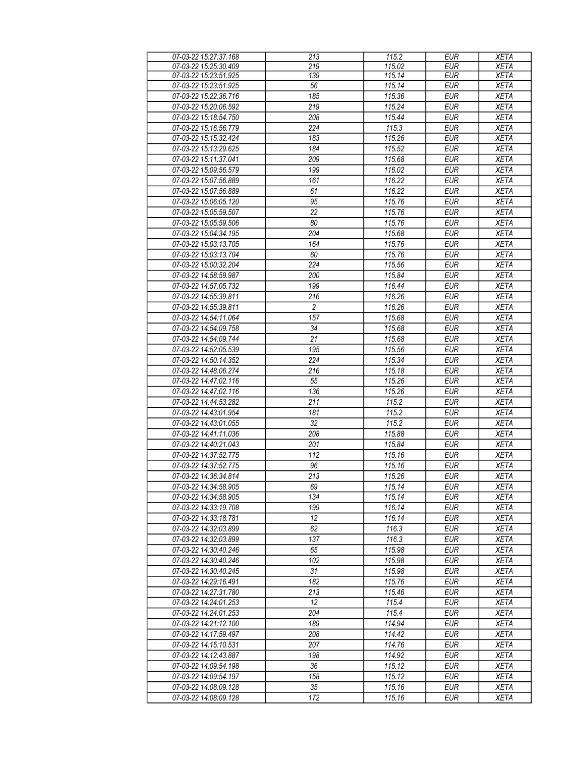| 07-03-22 15:27:37.168 | 213              | 115.2  | <b>EUR</b> | <b>XETA</b> |
|-----------------------|------------------|--------|------------|-------------|
| 07-03-22 15:25:30.409 | 219              | 115.02 | EUR        | <b>XETA</b> |
| 07-03-22 15:23:51.925 | 139              | 115.14 | <b>EUR</b> | <b>XETA</b> |
| 07-03-22 15:23:51.925 | 56               | 115.14 | <b>EUR</b> | <b>XETA</b> |
| 07-03-22 15:22:36.716 | 185              | 115.36 | <b>EUR</b> | <b>XETA</b> |
| 07-03-22 15:20:06.592 | 219              | 115.24 | <b>EUR</b> | <b>XETA</b> |
| 07-03-22 15:18:54.750 | 208              | 115.44 | <b>EUR</b> | <b>XETA</b> |
|                       |                  |        |            |             |
| 07-03-22 15:16:56.779 | 224              | 115.3  | <b>EUR</b> | <b>XETA</b> |
| 07-03-22 15:15:32.424 | 183              | 115.26 | <b>EUR</b> | <b>XETA</b> |
| 07-03-22 15:13:29.625 | 184              | 115.52 | <b>EUR</b> | <b>XETA</b> |
| 07-03-22 15:11:37.041 | 209              | 115.68 | <b>EUR</b> | <b>XETA</b> |
| 07-03-22 15:09:56.579 | 199              | 116.02 | <b>EUR</b> | <b>XETA</b> |
| 07-03-22 15:07:56.889 | 161              | 116.22 | <b>EUR</b> | <b>XETA</b> |
| 07-03-22 15:07:56.889 | 61               | 116.22 | <b>EUR</b> | <b>XETA</b> |
| 07-03-22 15:06:05.120 | 95               | 115.76 | <b>EUR</b> | <b>XETA</b> |
| 07-03-22 15:05:59.507 | $\overline{22}$  | 115.76 | <b>EUR</b> | <b>XETA</b> |
| 07-03-22 15:05:59.506 | 80               | 115.76 | <b>EUR</b> | <b>XETA</b> |
| 07-03-22 15:04:34.195 | 204              | 115.68 | <b>EUR</b> | <b>XETA</b> |
| 07-03-22 15:03:13.705 | 164              | 115.76 | <b>EUR</b> | <b>XETA</b> |
| 07-03-22 15:03:13.704 | 60               | 115.76 | <b>EUR</b> | <b>XETA</b> |
| 07-03-22 15:00:32.204 | 224              | 115.56 | <b>EUR</b> | <b>XETA</b> |
|                       |                  |        | <b>EUR</b> |             |
| 07-03-22 14:58:59.987 | 200              | 115.84 |            | <b>XETA</b> |
| 07-03-22 14:57:05.732 | 199              | 116.44 | <b>EUR</b> | <b>XETA</b> |
| 07-03-22 14:55:39.811 | 216              | 116.26 | <b>EUR</b> | <b>XETA</b> |
| 07-03-22 14:55:39.811 | $\overline{2}$   | 116.26 | <b>EUR</b> | <b>XETA</b> |
| 07-03-22 14:54:11.064 | 157              | 115.68 | <b>EUR</b> | <b>XETA</b> |
| 07-03-22 14:54:09.758 | 34               | 115.68 | <b>EUR</b> | <b>XETA</b> |
| 07-03-22 14:54:09.744 | 21               | 115.68 | <b>EUR</b> | <b>XETA</b> |
| 07-03-22 14:52:05.539 | 195              | 115.56 | <b>EUR</b> | <b>XETA</b> |
| 07-03-22 14:50:14.352 | $\overline{224}$ | 115.34 | <b>EUR</b> | <b>XETA</b> |
| 07-03-22 14:48:06.274 | 216              | 115.18 | <b>EUR</b> | <b>XETA</b> |
| 07-03-22 14:47:02.116 | 55               | 115.26 | <b>EUR</b> | <b>XETA</b> |
| 07-03-22 14:47:02.116 | 136              | 115.26 | <b>EUR</b> | <b>XETA</b> |
| 07-03-22 14:44:53.282 | 211              | 115.2  | <b>EUR</b> | <b>XETA</b> |
| 07-03-22 14:43:01.954 | 181              | 115.2  | <b>EUR</b> | <b>XETA</b> |
| 07-03-22 14:43:01.055 | 32               | 115.2  | <b>EUR</b> | <b>XETA</b> |
| 07-03-22 14:41:11.036 | 208              | 115.88 | <b>EUR</b> | <b>XETA</b> |
| 07-03-22 14:40:21.043 | 201              | 115.84 | <b>EUR</b> | <b>XETA</b> |
| 07-03-22 14:37:52.775 | 112              |        |            |             |
|                       |                  | 115.16 | <b>EUR</b> | <b>XETA</b> |
| 07-03-22 14:37:52.775 | 96               | 115.16 | <b>EUR</b> | <b>XETA</b> |
| 07-03-22 14:36:34.814 | 213              | 115.26 | <b>EUR</b> | <b>XETA</b> |
| 07-03-22 14:34:58.905 | 69               | 115.14 | <b>EUR</b> | <b>XETA</b> |
| 07-03-22 14:34:58.905 | 134              | 115.14 | EUR        | <b>XETA</b> |
| 07-03-22 14:33:19.708 | 199              | 116.14 | <b>EUR</b> | <b>XETA</b> |
| 07-03-22 14:33:18.781 | 12               | 116.14 | <b>EUR</b> | <b>XETA</b> |
| 07-03-22 14:32:03.899 | 62               | 116.3  | <b>EUR</b> | <b>XETA</b> |
| 07-03-22 14:32:03.899 | 137              | 116.3  | <b>EUR</b> | <b>XETA</b> |
| 07-03-22 14:30:40.246 | 65               | 115.98 | <b>EUR</b> | <b>XETA</b> |
| 07-03-22 14:30:40.246 | 102              | 115.98 | <b>EUR</b> | <b>XETA</b> |
| 07-03-22 14:30:40.245 | 31               | 115.98 | <b>EUR</b> | <b>XETA</b> |
| 07-03-22 14:29:16.491 | 182              | 115.76 | <b>EUR</b> | <b>XETA</b> |
| 07-03-22 14:27:31.780 | 213              | 115.46 | <b>EUR</b> | <b>XETA</b> |
| 07-03-22 14:24:01.253 | 12               | 115.4  | <b>EUR</b> | <b>XETA</b> |
| 07-03-22 14:24:01.253 | 204              | 115.4  | <b>EUR</b> | <b>XETA</b> |
| 07-03-22 14:21:12.100 | 189              | 114.94 | <b>EUR</b> | <b>XETA</b> |
| 07-03-22 14:17:59.497 | 208              | 114.42 | <b>EUR</b> | <b>XETA</b> |
| 07-03-22 14:15:10.531 | 207              | 114.76 | <b>EUR</b> | <b>XETA</b> |
|                       |                  |        |            |             |
| 07-03-22 14:12:43.887 | 198              | 114.92 | <b>EUR</b> | <b>XETA</b> |
| 07-03-22 14:09:54.198 | 36               | 115.12 | <b>EUR</b> | <b>XETA</b> |
| 07-03-22 14:09:54.197 | 158              | 115.12 | <b>EUR</b> | <b>XETA</b> |
| 07-03-22 14:08:09.128 | 35               | 115.16 | <b>EUR</b> | <b>XETA</b> |
| 07-03-22 14:08:09.128 | 172              | 115.16 | <b>EUR</b> | <b>XETA</b> |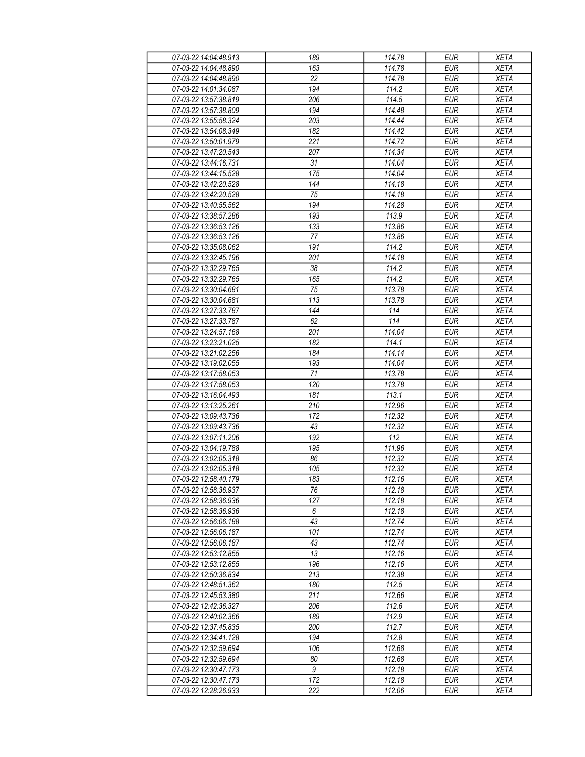| 07-03-22 14:04:48.913                          | 189              | 114.78           | <b>EUR</b>               | <b>XETA</b>                |
|------------------------------------------------|------------------|------------------|--------------------------|----------------------------|
| 07-03-22 14:04:48.890                          | 163              | 114.78           | <b>EUR</b>               | <b>XETA</b>                |
| 07-03-22 14:04:48.890                          | 22               | 114.78           | <b>EUR</b>               | <b>XETA</b>                |
| 07-03-22 14:01:34.087                          | 194              | 114.2            | <b>EUR</b>               | <b>XETA</b>                |
| 07-03-22 13:57:38.819                          | 206              | 114.5            | <b>EUR</b>               | <b>XETA</b>                |
| 07-03-22 13:57:38.809                          | 194              | 114.48           | <b>EUR</b>               | <b>XETA</b>                |
| 07-03-22 13:55:58.324                          | 203              | 114.44           | <b>EUR</b>               | <b>XETA</b>                |
| 07-03-22 13:54:08.349                          | 182              | 114.42           | <b>EUR</b>               | <b>XETA</b>                |
| 07-03-22 13:50:01.979                          | 221              | 114.72           | <b>EUR</b>               | <b>XETA</b>                |
| 07-03-22 13:47:20.543                          | 207              | 114.34           | <b>EUR</b>               | <b>XETA</b>                |
| 07-03-22 13:44:16.731                          | 31               | 114.04           | <b>EUR</b>               | <b>XETA</b>                |
| 07-03-22 13:44:15.528                          | 175              | 114.04           | <b>EUR</b>               | <b>XETA</b>                |
| 07-03-22 13:42:20.528                          | 144              | 114.18           | <b>EUR</b>               | <b>XETA</b>                |
| 07-03-22 13:42:20.528                          | 75               | 114.18           | <b>EUR</b>               | <b>XETA</b>                |
| 07-03-22 13:40:55.562                          | 194              | 114.28           | <b>EUR</b>               | <b>XETA</b>                |
| 07-03-22 13:38:57.286                          | 193              | 113.9            | <b>EUR</b>               | <b>XETA</b>                |
| 07-03-22 13:36:53.126                          | 133              | 113.86           | <b>EUR</b>               | <b>XETA</b>                |
| 07-03-22 13:36:53.126                          | 77               | 113.86           | <b>EUR</b>               | <b>XETA</b>                |
| 07-03-22 13:35:08.062                          | 191              | 114.2            | <b>EUR</b>               | <b>XETA</b>                |
| 07-03-22 13:32:45.196                          | 201              | 114.18           | <b>EUR</b>               | <b>XETA</b>                |
| 07-03-22 13:32:29.765                          | $\overline{38}$  | 114.2            | <b>EUR</b>               | <b>XETA</b>                |
| 07-03-22 13:32:29.765                          | 165              | 114.2            | <b>EUR</b>               | <b>XETA</b>                |
| 07-03-22 13:30:04.681                          | 75               | 113.78           | <b>EUR</b>               | <b>XETA</b>                |
| 07-03-22 13:30:04.681                          | 113              | 113.78           | <b>EUR</b>               | <b>XETA</b>                |
| 07-03-22 13:27:33.787                          | 144              | 114              | <b>EUR</b>               | <b>XETA</b>                |
| 07-03-22 13:27:33.787                          | 62               | 114              | <b>EUR</b>               | <b>XETA</b>                |
| 07-03-22 13:24:57.168                          | 201              | 114.04           | <b>EUR</b>               | <b>XETA</b>                |
| 07-03-22 13:23:21.025                          | 182              | 114.1            | <b>EUR</b>               | <b>XETA</b>                |
|                                                |                  | 114.14           | <b>EUR</b>               |                            |
| 07-03-22 13:21:02.256<br>07-03-22 13:19:02.055 | 184<br>193       | 114.04           | <b>EUR</b>               | <b>XETA</b><br><b>XETA</b> |
|                                                | 71               |                  |                          |                            |
| 07-03-22 13:17:58.053<br>07-03-22 13:17:58.053 | 120              | 113.78<br>113.78 | <b>EUR</b><br><b>EUR</b> | <b>XETA</b><br><b>XETA</b> |
| 07-03-22 13:16:04.493                          | 181              | 113.1            | <b>EUR</b>               | <b>XETA</b>                |
| 07-03-22 13:13:25.261                          | 210              | 112.96           | <b>EUR</b>               | <b>XETA</b>                |
| 07-03-22 13:09:43.736                          | 172              | 112.32           | <b>EUR</b>               | <b>XETA</b>                |
| 07-03-22 13:09:43.736                          |                  | 112.32           |                          | <b>XETA</b>                |
| 07-03-22 13:07:11.206                          | 43               | 112              | <b>EUR</b>               |                            |
|                                                | 192              |                  | <b>EUR</b>               | <b>XETA</b>                |
| 07-03-22 13:04:19.788                          | 195<br>86        | 111.96           | <b>EUR</b>               | <b>XETA</b>                |
| 07-03-22 13:02:05.318                          | 105              | 112.32           | <b>EUR</b>               | <b>XETA</b>                |
| 07-03-22 13:02:05.318                          |                  | 112.32           | <b>EUR</b>               | <b>XETA</b>                |
| 07-03-22 12:58:40.179<br>07-03-22 12:58:36.937 | 183              | 112.16           | EUR                      | <b>XETA</b>                |
| 07-03-22 12:58:36.936                          | 76               | 112.18<br>112.18 | <b>EUR</b>               | <b>XETA</b>                |
| 07-03-22 12:58:36.936                          | 127              | 112.18           | <b>EUR</b>               | <b>XETA</b>                |
|                                                | 6                |                  | <b>EUR</b>               | <b>XETA</b>                |
| 07-03-22 12:56:06.188                          | 43               | 112.74           | <b>EUR</b>               | <b>XETA</b>                |
| 07-03-22 12:56:06.187                          | 101              | 112.74           | <b>EUR</b>               | <b>XETA</b>                |
| 07-03-22 12:56:06.187                          | 43               | 112.74           | <b>EUR</b>               | <b>XETA</b>                |
| 07-03-22 12:53:12.855                          | 13               | 112.16           | <b>EUR</b>               | <b>XETA</b>                |
| 07-03-22 12:53:12.855                          | 196              | 112.16           | <b>EUR</b>               | <b>XETA</b>                |
| 07-03-22 12:50:36.834                          | 213              | 112.38           | <b>EUR</b>               | <b>XETA</b>                |
| 07-03-22 12:48:51.362                          | 180              | 112.5            | <b>EUR</b>               | <b>XETA</b>                |
| 07-03-22 12:45:53.380                          | 211              | 112.66           | <b>EUR</b>               | <b>XETA</b>                |
| 07-03-22 12:42:36.327                          | 206              | 112.6            | <b>EUR</b>               | <b>XETA</b>                |
| 07-03-22 12:40:02.366                          | 189              | 112.9            | <b>EUR</b>               | <b>XETA</b>                |
| 07-03-22 12:37:45.835                          | 200              | 112.7            | <b>EUR</b>               | <b>XETA</b>                |
| 07-03-22 12:34:41.128                          | 194              | 112.8            | <b>EUR</b>               | XETA                       |
| 07-03-22 12:32:59.694                          | 106              | 112.68           | <b>EUR</b>               | <b>XETA</b>                |
| 07-03-22 12:32:59.694                          | 80               | 112.68           | <b>EUR</b>               | <b>XETA</b>                |
| 07-03-22 12:30:47.173                          | $\boldsymbol{9}$ | 112.18           | <b>EUR</b>               | <b>XETA</b>                |
| 07-03-22 12:30:47.173                          | 172              | 112.18           | <b>EUR</b>               | <b>XETA</b>                |
| 07-03-22 12:28:26.933                          | 222              | 112.06           | <b>EUR</b>               | <b>XETA</b>                |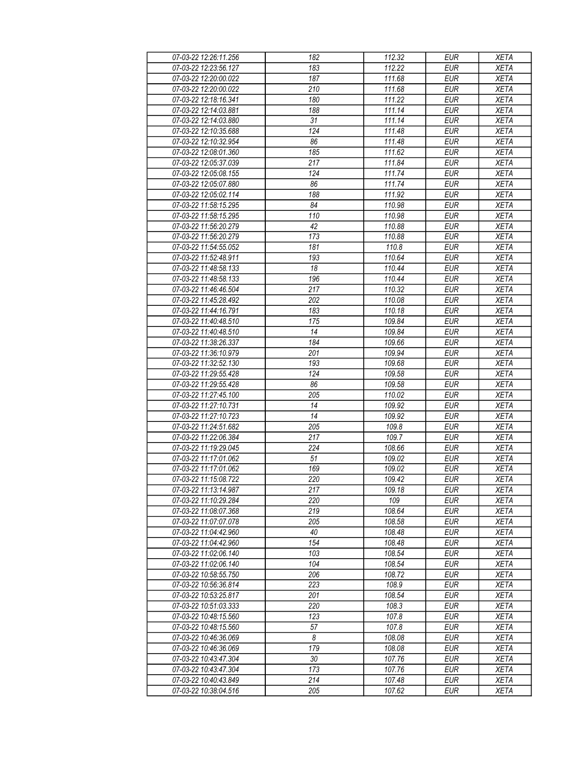| 07-03-22 12:26:11.256 | 182 | 112.32 | <b>EUR</b> | <b>XETA</b> |
|-----------------------|-----|--------|------------|-------------|
| 07-03-22 12:23:56.127 | 183 | 112.22 | <b>EUR</b> | <b>XETA</b> |
| 07-03-22 12:20:00.022 | 187 | 111.68 | <b>EUR</b> | <b>XETA</b> |
| 07-03-22 12:20:00.022 | 210 | 111.68 | <b>EUR</b> | <b>XETA</b> |
| 07-03-22 12:18:16.341 | 180 | 111.22 | <b>EUR</b> | <b>XETA</b> |
| 07-03-22 12:14:03.881 | 188 | 111.14 | <b>EUR</b> | <b>XETA</b> |
| 07-03-22 12:14:03.880 | 31  | 111.14 | <b>EUR</b> | <b>XETA</b> |
| 07-03-22 12:10:35.688 | 124 | 111.48 | <b>EUR</b> | <b>XETA</b> |
| 07-03-22 12:10:32.954 | 86  | 111.48 | <b>EUR</b> | <b>XETA</b> |
| 07-03-22 12:08:01.360 | 185 | 111.62 | <b>EUR</b> | <b>XETA</b> |
| 07-03-22 12:05:37.039 | 217 | 111.84 | <b>EUR</b> | <b>XETA</b> |
| 07-03-22 12:05:08.155 | 124 | 111.74 | <b>EUR</b> | <b>XETA</b> |
| 07-03-22 12:05:07.880 | 86  | 111.74 | <b>EUR</b> | <b>XETA</b> |
| 07-03-22 12:05:02.114 | 188 | 111.92 | <b>EUR</b> | <b>XETA</b> |
| 07-03-22 11:58:15.295 | 84  | 110.98 | <b>EUR</b> | <b>XETA</b> |
| 07-03-22 11:58:15.295 | 110 | 110.98 | <b>EUR</b> | <b>XETA</b> |
| 07-03-22 11:56:20.279 | 42  | 110.88 | <b>EUR</b> | <b>XETA</b> |
| 07-03-22 11:56:20.279 | 173 | 110.88 | <b>EUR</b> | <b>XETA</b> |
| 07-03-22 11:54:55.052 | 181 | 110.8  | <b>EUR</b> | <b>XETA</b> |
|                       |     |        |            |             |
| 07-03-22 11:52:48.911 | 193 | 110.64 | <b>EUR</b> | <b>XETA</b> |
| 07-03-22 11:48:58.133 | 18  | 110.44 | <b>EUR</b> | <b>XETA</b> |
| 07-03-22 11:48:58.133 | 196 | 110.44 | <b>EUR</b> | <b>XETA</b> |
| 07-03-22 11:46:46.504 | 217 | 110.32 | <b>EUR</b> | <b>XETA</b> |
| 07-03-22 11:45:28.492 | 202 | 110.08 | <b>EUR</b> | <b>XETA</b> |
| 07-03-22 11:44:16.791 | 183 | 110.18 | <b>EUR</b> | <b>XETA</b> |
| 07-03-22 11:40:48.510 | 175 | 109.84 | <b>EUR</b> | <b>XETA</b> |
| 07-03-22 11:40:48.510 | 14  | 109.84 | <b>EUR</b> | <b>XETA</b> |
| 07-03-22 11:38:26.337 | 184 | 109.66 | <b>EUR</b> | <b>XETA</b> |
| 07-03-22 11:36:10.979 | 201 | 109.94 | EUR        | <b>XETA</b> |
| 07-03-22 11:32:52.130 | 193 | 109.68 | <b>EUR</b> | <b>XETA</b> |
| 07-03-22 11:29:55.428 | 124 | 109.58 | <b>EUR</b> | <b>XETA</b> |
| 07-03-22 11:29:55.428 | 86  | 109.58 | <b>EUR</b> | <b>XETA</b> |
| 07-03-22 11:27:45.100 | 205 | 110.02 | <b>EUR</b> | <b>XETA</b> |
| 07-03-22 11:27:10.731 | 14  | 109.92 | <b>EUR</b> | <b>XETA</b> |
| 07-03-22 11:27:10.723 | 14  | 109.92 | <b>EUR</b> | <b>XETA</b> |
| 07-03-22 11:24:51.682 | 205 | 109.8  | <b>EUR</b> | <b>XETA</b> |
| 07-03-22 11:22:06.384 | 217 | 109.7  | <b>EUR</b> | <b>XETA</b> |
| 07-03-22 11:19:29.045 | 224 | 108.66 | <b>EUR</b> | <b>XETA</b> |
| 07-03-22 11:17:01.062 | 51  | 109.02 | <b>EUR</b> | <b>XETA</b> |
| 07-03-22 11:17:01.062 | 169 | 109.02 | <b>EUR</b> | <b>XETA</b> |
| 07-03-22 11:15:08.722 | 220 | 109.42 | <b>EUR</b> | <b>XETA</b> |
| 07-03-22 11:13:14.987 | 217 | 109.18 | <b>EUR</b> | <b>XETA</b> |
| 07-03-22 11:10:29.284 | 220 | 109    | <b>EUR</b> | <b>XETA</b> |
| 07-03-22 11:08:07.368 | 219 | 108.64 | <b>EUR</b> | <b>XETA</b> |
| 07-03-22 11:07:07.078 | 205 | 108.58 | <b>EUR</b> | <b>XETA</b> |
| 07-03-22 11:04:42.960 | 40  | 108.48 | <b>EUR</b> | <b>XETA</b> |
| 07-03-22 11:04:42.960 | 154 | 108.48 | <b>EUR</b> | <b>XETA</b> |
| 07-03-22 11:02:06.140 | 103 | 108.54 | <b>EUR</b> | <b>XETA</b> |
| 07-03-22 11:02:06.140 | 104 | 108.54 | <b>EUR</b> | <b>XETA</b> |
| 07-03-22 10:58:55.750 | 206 | 108.72 | <b>EUR</b> | <b>XETA</b> |
| 07-03-22 10:56:36.814 | 223 | 108.9  | <b>EUR</b> | <b>XETA</b> |
| 07-03-22 10:53:25.817 | 201 | 108.54 | <b>EUR</b> | <b>XETA</b> |
| 07-03-22 10:51:03.333 | 220 | 108.3  | <b>EUR</b> | <b>XETA</b> |
| 07-03-22 10:48:15.560 | 123 | 107.8  | <b>EUR</b> | <b>XETA</b> |
| 07-03-22 10:48:15.560 | 57  | 107.8  | <b>EUR</b> | <b>XETA</b> |
| 07-03-22 10:46:36.069 | 8   | 108.08 | <b>EUR</b> | <b>XETA</b> |
| 07-03-22 10:46:36.069 | 179 | 108.08 | <b>EUR</b> | <b>XETA</b> |
| 07-03-22 10:43:47.304 | 30  | 107.76 | <b>EUR</b> | <b>XETA</b> |
| 07-03-22 10:43:47.304 | 173 | 107.76 | <b>EUR</b> | <b>XETA</b> |
| 07-03-22 10:40:43.849 | 214 | 107.48 | <b>EUR</b> | <b>XETA</b> |
| 07-03-22 10:38:04.516 | 205 | 107.62 | <b>EUR</b> | <b>XETA</b> |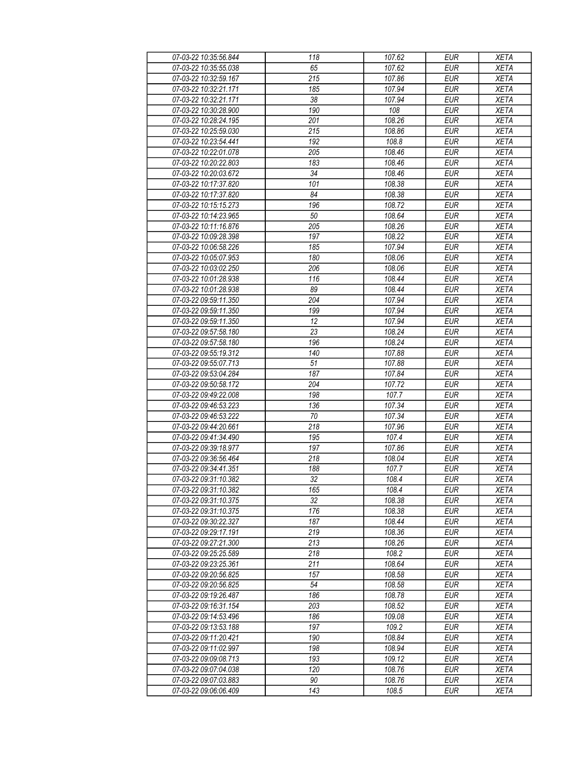| 07-03-22 10:35:56.844 | 118              | 107.62 | <b>EUR</b>       | <b>XETA</b> |
|-----------------------|------------------|--------|------------------|-------------|
| 07-03-22 10:35:55.038 | 65               | 107.62 | <b>EUR</b>       | <b>XETA</b> |
| 07-03-22 10:32:59.167 | $\overline{215}$ | 107.86 | <b>EUR</b>       | <b>XETA</b> |
| 07-03-22 10:32:21.171 | 185              | 107.94 | $E\overline{UR}$ | <b>XETA</b> |
| 07-03-22 10:32:21.171 | 38               | 107.94 | <b>EUR</b>       | <b>XETA</b> |
| 07-03-22 10:30:28.900 | 190              | 108    | <b>EUR</b>       | <b>XETA</b> |
| 07-03-22 10:28:24.195 | 201              | 108.26 | <b>EUR</b>       | <b>XETA</b> |
| 07-03-22 10:25:59.030 | 215              | 108.86 | <b>EUR</b>       | <b>XETA</b> |
| 07-03-22 10:23:54.441 | 192              | 108.8  | <b>EUR</b>       | <b>XETA</b> |
| 07-03-22 10:22:01.078 | 205              | 108.46 | <b>EUR</b>       | <b>XETA</b> |
| 07-03-22 10:20:22.803 | 183              | 108.46 | <b>EUR</b>       | <b>XETA</b> |
| 07-03-22 10:20:03.672 | 34               | 108.46 | <b>EUR</b>       | <b>XETA</b> |
| 07-03-22 10:17:37.820 | 101              | 108.38 | <b>EUR</b>       | <b>XETA</b> |
| 07-03-22 10:17:37.820 | 84               | 108.38 | <b>EUR</b>       | <b>XETA</b> |
| 07-03-22 10:15:15.273 | 196              | 108.72 | <b>EUR</b>       | <b>XETA</b> |
| 07-03-22 10:14:23.965 | 50               | 108.64 | <b>EUR</b>       | <b>XETA</b> |
| 07-03-22 10:11:16.876 | $\overline{205}$ | 108.26 | <b>EUR</b>       | <b>XETA</b> |
| 07-03-22 10:09:28.398 | 197              | 108.22 | <b>EUR</b>       | <b>XETA</b> |
| 07-03-22 10:06:58.226 | 185              | 107.94 | <b>EUR</b>       | <b>XETA</b> |
| 07-03-22 10:05:07.953 |                  |        |                  |             |
|                       | 180<br>206       | 108.06 | <b>EUR</b>       | <b>XETA</b> |
| 07-03-22 10:03:02.250 |                  | 108.06 | <b>EUR</b>       | <b>XETA</b> |
| 07-03-22 10:01:28.938 | 116              | 108.44 | <b>EUR</b>       | <b>XETA</b> |
| 07-03-22 10:01:28.938 | 89               | 108.44 | <b>EUR</b>       | <b>XETA</b> |
| 07-03-22 09:59:11.350 | 204              | 107.94 | <b>EUR</b>       | <b>XETA</b> |
| 07-03-22 09:59:11.350 | 199              | 107.94 | <b>EUR</b>       | <b>XETA</b> |
| 07-03-22 09:59:11.350 | 12               | 107.94 | <b>EUR</b>       | <b>XETA</b> |
| 07-03-22 09:57:58.180 | 23               | 108.24 | <b>EUR</b>       | <b>XETA</b> |
| 07-03-22 09:57:58.180 | 196              | 108.24 | <b>EUR</b>       | <b>XETA</b> |
| 07-03-22 09:55:19.312 | 140              | 107.88 | EUR              | <b>XETA</b> |
| 07-03-22 09:55:07.713 | 51               | 107.88 | <b>EUR</b>       | <b>XETA</b> |
| 07-03-22 09:53:04.284 | 187              | 107.84 | <b>EUR</b>       | <b>XETA</b> |
| 07-03-22 09:50:58.172 | 204              | 107.72 | <b>EUR</b>       | <b>XETA</b> |
| 07-03-22 09:49:22.008 | 198              | 107.7  | <b>EUR</b>       | <b>XETA</b> |
| 07-03-22 09:46:53.223 | 136              | 107.34 | <b>EUR</b>       | <b>XETA</b> |
| 07-03-22 09:46:53.222 | 70               | 107.34 | <b>EUR</b>       | <b>XETA</b> |
| 07-03-22 09:44:20.661 | 218              | 107.96 | <b>EUR</b>       | <b>XETA</b> |
| 07-03-22 09:41:34.490 | 195              | 107.4  | <b>EUR</b>       | <b>XETA</b> |
| 07-03-22 09:39:18.977 | 197              | 107.86 | <b>EUR</b>       | <b>XETA</b> |
| 07-03-22 09:36:56.464 | 218              | 108.04 | <b>EUR</b>       | <b>XETA</b> |
| 07-03-22 09:34:41.351 | 188              | 107.7  | <b>EUR</b>       | <b>XETA</b> |
| 07-03-22 09:31:10.382 | 32               | 108.4  | <b>EUR</b>       | <b>XETA</b> |
| 07-03-22 09:31:10.382 | 165              | 108.4  | <b>EUR</b>       | <b>XETA</b> |
| 07-03-22 09:31:10.375 | 32               | 108.38 | <b>EUR</b>       | <b>XETA</b> |
| 07-03-22 09:31:10.375 | 176              | 108.38 | <b>EUR</b>       | <b>XETA</b> |
| 07-03-22 09:30:22.327 | 187              | 108.44 | <b>EUR</b>       | <b>XETA</b> |
| 07-03-22 09:29:17.191 | 219              | 108.36 | <b>EUR</b>       | <b>XETA</b> |
| 07-03-22 09:27:21.300 | 213              | 108.26 | <b>EUR</b>       | <b>XETA</b> |
| 07-03-22 09:25:25.589 | 218              | 108.2  | <b>EUR</b>       | <b>XETA</b> |
| 07-03-22 09:23:25.361 | 211              | 108.64 | <b>EUR</b>       | <b>XETA</b> |
| 07-03-22 09:20:56.825 | 157              | 108.58 | <b>EUR</b>       | <b>XETA</b> |
| 07-03-22 09:20:56.825 | 54               | 108.58 | <b>EUR</b>       | <b>XETA</b> |
| 07-03-22 09:19:26.487 | 186              | 108.78 | <b>EUR</b>       | <b>XETA</b> |
| 07-03-22 09:16:31.154 | 203              | 108.52 | <b>EUR</b>       | <b>XETA</b> |
| 07-03-22 09:14:53.496 | 186              | 109.08 | <b>EUR</b>       | <b>XETA</b> |
| 07-03-22 09:13:53.188 | 197              | 109.2  | <b>EUR</b>       | <b>XETA</b> |
| 07-03-22 09:11:20.421 | 190              | 108.84 | <b>EUR</b>       | <b>XETA</b> |
| 07-03-22 09:11:02.997 | 198              | 108.94 | <b>EUR</b>       | <b>XETA</b> |
| 07-03-22 09:09:08.713 | 193              | 109.12 | <b>EUR</b>       | <b>XETA</b> |
| 07-03-22 09:07:04.038 | 120              | 108.76 | <b>EUR</b>       | <b>XETA</b> |
| 07-03-22 09:07:03.883 | 90               | 108.76 | <b>EUR</b>       | <b>XETA</b> |
| 07-03-22 09:06:06.409 | 143              | 108.5  | <b>EUR</b>       | <b>XETA</b> |
|                       |                  |        |                  |             |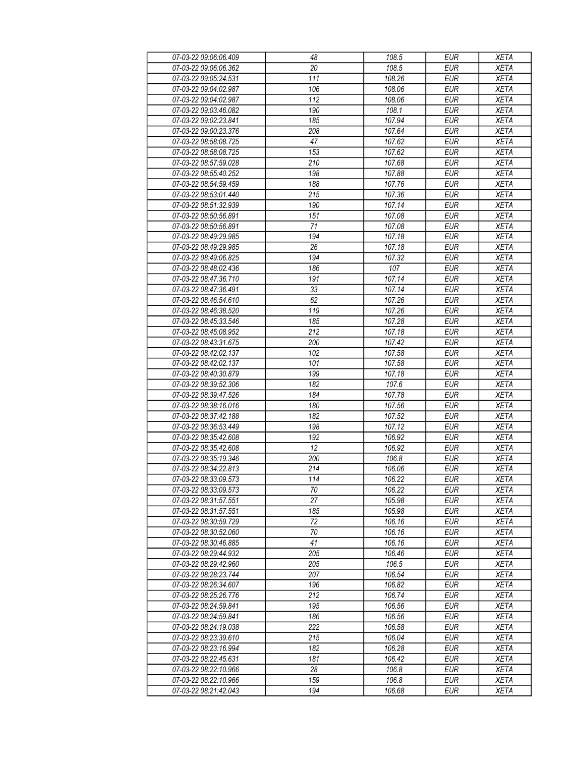| 07-03-22 09:06:06.409 | 48                     | 108.5            | <b>EUR</b>               | <b>XETA</b> |
|-----------------------|------------------------|------------------|--------------------------|-------------|
| 07-03-22 09:06:06.362 | 20                     | 108.5            | <b>EUR</b>               | <b>XETA</b> |
| 07-03-22 09:05:24.531 | 111                    | 108.26           | <b>EUR</b>               | <b>XETA</b> |
| 07-03-22 09:04:02.987 | 106                    | 108.06           | $E\overline{UR}$         | <b>XETA</b> |
| 07-03-22 09:04:02.987 | 112                    | 108.06           | <b>EUR</b>               | <b>XETA</b> |
| 07-03-22 09:03:46.082 | 190                    | 108.1            | <b>EUR</b>               | <b>XETA</b> |
| 07-03-22 09:02:23.841 | 185                    | 107.94           | <b>EUR</b>               | <b>XETA</b> |
| 07-03-22 09:00:23.376 | 208                    | 107.64           | <b>EUR</b>               | <b>XETA</b> |
| 07-03-22 08:58:08.725 | 47                     | 107.62           | <b>EUR</b>               | <b>XETA</b> |
| 07-03-22 08:58:08.725 | 153                    | 107.62           | <b>EUR</b>               | <b>XETA</b> |
| 07-03-22 08:57:59.028 | 210                    | 107.68           | <b>EUR</b>               | <b>XETA</b> |
| 07-03-22 08:55:40.252 | 198                    | 107.88           | <b>EUR</b>               | <b>XETA</b> |
| 07-03-22 08:54:59.459 | 188                    | 107.76           | <b>EUR</b>               | <b>XETA</b> |
| 07-03-22 08:53:01.440 | 215                    | 107.36           | <b>EUR</b>               | <b>XETA</b> |
| 07-03-22 08:51:32.939 | 190                    | 107.14           | <b>EUR</b>               | <b>XETA</b> |
|                       |                        |                  |                          |             |
| 07-03-22 08:50:56.891 | 151<br>$\overline{71}$ | 107.08<br>107.08 | <b>EUR</b><br><b>EUR</b> | <b>XETA</b> |
| 07-03-22 08:50:56.891 |                        |                  |                          | <b>XETA</b> |
| 07-03-22 08:49:29.985 | 194                    | 107.18           | <b>EUR</b>               | <b>XETA</b> |
| 07-03-22 08:49:29.985 | 26                     | 107.18           | <b>EUR</b>               | <b>XETA</b> |
| 07-03-22 08:49:06.825 | 194                    | 107.32           | <b>EUR</b>               | <b>XETA</b> |
| 07-03-22 08:48:02.436 | 186                    | 107              | <b>EUR</b>               | <b>XETA</b> |
| 07-03-22 08:47:36.710 | 191                    | 107.14           | <b>EUR</b>               | <b>XETA</b> |
| 07-03-22 08:47:36.491 | 33                     | 107.14           | <b>EUR</b>               | <b>XETA</b> |
| 07-03-22 08:46:54.610 | 62                     | 107.26           | <b>EUR</b>               | <b>XETA</b> |
| 07-03-22 08:46:38.520 | 119                    | 107.26           | <b>EUR</b>               | <b>XETA</b> |
| 07-03-22 08:45:33.546 | 185                    | 107.28           | <b>EUR</b>               | <b>XETA</b> |
| 07-03-22 08:45:08.952 | 212                    | 107.18           | <b>EUR</b>               | <b>XETA</b> |
| 07-03-22 08:43:31.675 | 200                    | 107.42           | <b>EUR</b>               | <b>XETA</b> |
| 07-03-22 08:42:02.137 | 102                    | 107.58           | $E\overline{UR}$         | <b>XETA</b> |
| 07-03-22 08:42:02.137 | 101                    | 107.58           | <b>EUR</b>               | <b>XETA</b> |
| 07-03-22 08:40:30.879 | 199                    | 107.18           | <b>EUR</b>               | <b>XETA</b> |
| 07-03-22 08:39:52.306 | 182                    | 107.6            | <b>EUR</b>               | <b>XETA</b> |
| 07-03-22 08:39:47.526 | 184                    | 107.78           | <b>EUR</b>               | <b>XETA</b> |
| 07-03-22 08:38:16.016 | 180                    | 107.56           | <b>EUR</b>               | <b>XETA</b> |
| 07-03-22 08:37:42.188 | 182                    | 107.52           | <b>EUR</b>               | <b>XETA</b> |
| 07-03-22 08:36:53.449 | 198                    | 107.12           | <b>EUR</b>               | <b>XETA</b> |
| 07-03-22 08:35:42.608 | 192                    | 106.92           | <b>EUR</b>               | <b>XETA</b> |
| 07-03-22 08:35:42.608 | 12                     | 106.92           | <b>EUR</b>               | <b>XETA</b> |
| 07-03-22 08:35:19.346 | 200                    | 106.8            | <b>EUR</b>               | <b>XETA</b> |
| 07-03-22 08:34:22.813 | 214                    | 106.06           | <b>EUR</b>               | <b>XETA</b> |
| 07-03-22 08:33:09.573 | 114                    | 106.22           | <b>EUR</b>               | <b>XETA</b> |
| 07-03-22 08:33:09.573 | 70                     | 106.22           | <b>EUR</b>               | <b>XETA</b> |
| 07-03-22 08:31:57.551 | 27                     | 105.98           | <b>EUR</b>               | <b>XETA</b> |
| 07-03-22 08:31:57.551 | 185                    | 105.98           | <b>EUR</b>               | <b>XETA</b> |
| 07-03-22 08:30:59.729 | 72                     | 106.16           | <b>EUR</b>               | <b>XETA</b> |
| 07-03-22 08:30:52.060 | 70                     | 106.16           | <b>EUR</b>               | <b>XETA</b> |
| 07-03-22 08:30:46.885 | 41                     | 106.16           | <b>EUR</b>               | <b>XETA</b> |
| 07-03-22 08:29:44.932 | 205                    | 106.46           | <b>EUR</b>               | <b>XETA</b> |
| 07-03-22 08:29:42.960 | 205                    | 106.5            | <b>EUR</b>               | <b>XETA</b> |
| 07-03-22 08:28:23.744 | 207                    | 106.54           | <b>EUR</b>               | <b>XETA</b> |
| 07-03-22 08:26:34.607 | 196                    | 106.82           | <b>EUR</b>               | <b>XETA</b> |
| 07-03-22 08:25:26.776 | 212                    | 106.74           | <b>EUR</b>               | <b>XETA</b> |
| 07-03-22 08:24:59.841 | 195                    | 106.56           | <b>EUR</b>               | <b>XETA</b> |
| 07-03-22 08:24:59.841 | 186                    | 106.56           | <b>EUR</b>               | <b>XETA</b> |
| 07-03-22 08:24:19.038 | 222                    | 106.58           | <b>EUR</b>               | <b>XETA</b> |
| 07-03-22 08:23:39.610 | 215                    | 106.04           | <b>EUR</b>               | <b>XETA</b> |
| 07-03-22 08:23:16.994 | 182                    | 106.28           | <b>EUR</b>               | <b>XETA</b> |
| 07-03-22 08:22:45.631 | 181                    | 106.42           | <b>EUR</b>               | <b>XETA</b> |
| 07-03-22 08:22:10.966 | 28                     | 106.8            | <b>EUR</b>               | <b>XETA</b> |
| 07-03-22 08:22:10.966 | 159                    | 106.8            | <b>EUR</b>               | <b>XETA</b> |
| 07-03-22 08:21:42.043 | 194                    | 106.68           | <b>EUR</b>               | <b>XETA</b> |
|                       |                        |                  |                          |             |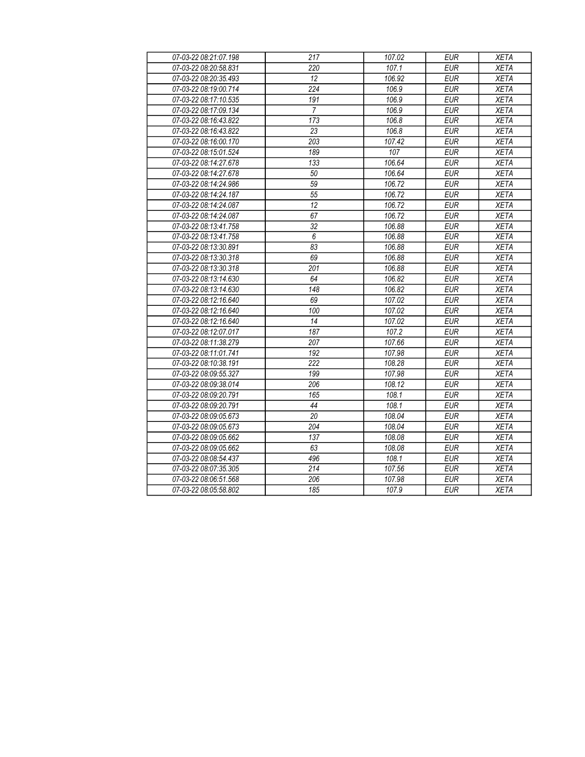| 07-03-22 08:21:07.198 | 217              | 107.02 | <b>EUR</b> | <b>XETA</b> |
|-----------------------|------------------|--------|------------|-------------|
| 07-03-22 08:20:58.831 | 220              | 107.1  | <b>EUR</b> | <b>XETA</b> |
| 07-03-22 08:20:35.493 | 12               | 106.92 | <b>EUR</b> | <b>XETA</b> |
| 07-03-22 08:19:00.714 | 224              | 106.9  | <b>EUR</b> | <b>XETA</b> |
| 07-03-22 08:17:10.535 | 191              | 106.9  | <b>EUR</b> | <b>XETA</b> |
| 07-03-22 08:17:09.134 | $\overline{7}$   | 106.9  | <b>EUR</b> | <b>XETA</b> |
| 07-03-22 08:16:43.822 | 173              | 106.8  | <b>EUR</b> | <b>XETA</b> |
| 07-03-22 08:16:43.822 | 23               | 106.8  | <b>EUR</b> | <b>XETA</b> |
| 07-03-22 08:16:00.170 | 203              | 107.42 | <b>EUR</b> | <b>XETA</b> |
| 07-03-22 08:15:01.524 | 189              | 107    | <b>EUR</b> | <b>XETA</b> |
| 07-03-22 08:14:27.678 | 133              | 106.64 | <b>EUR</b> | <b>XETA</b> |
| 07-03-22 08:14:27.678 | 50               | 106.64 | <b>EUR</b> | <b>XETA</b> |
| 07-03-22 08:14:24.986 | 59               | 106.72 | <b>EUR</b> | <b>XETA</b> |
| 07-03-22 08:14:24.187 | 55               | 106.72 | <b>EUR</b> | <b>XETA</b> |
| 07-03-22 08:14:24.087 | $\overline{12}$  | 106.72 | <b>EUR</b> | <b>XETA</b> |
| 07-03-22 08:14:24.087 | 67               | 106.72 | <b>EUR</b> | <b>XETA</b> |
| 07-03-22 08:13:41.758 | $\overline{32}$  | 106.88 | <b>EUR</b> | <b>XETA</b> |
| 07-03-22 08:13:41.758 | $\boldsymbol{6}$ | 106.88 | <b>EUR</b> | <b>XETA</b> |
| 07-03-22 08:13:30.891 | 83               | 106.88 | <b>EUR</b> | <b>XETA</b> |
| 07-03-22 08:13:30.318 | 69               | 106.88 | <b>EUR</b> | <b>XETA</b> |
| 07-03-22 08:13:30.318 | 201              | 106.88 | <b>EUR</b> | <b>XETA</b> |
| 07-03-22 08:13:14.630 | 64               | 106.82 | <b>EUR</b> | <b>XETA</b> |
| 07-03-22 08:13:14.630 | 148              | 106.82 | <b>EUR</b> | <b>XETA</b> |
| 07-03-22 08:12:16.640 | 69               | 107.02 | <b>EUR</b> | <b>XETA</b> |
| 07-03-22 08:12:16.640 | 100              | 107.02 | <b>EUR</b> | <b>XETA</b> |
| 07-03-22 08:12:16.640 | 14               | 107.02 | <b>EUR</b> | <b>XETA</b> |
| 07-03-22 08:12:07.017 | 187              | 107.2  | <b>EUR</b> | <b>XETA</b> |
| 07-03-22 08:11:38.279 | 207              | 107.66 | <b>EUR</b> | <b>XETA</b> |
| 07-03-22 08:11:01.741 | 192              | 107.98 | <b>EUR</b> | <b>XETA</b> |
| 07-03-22 08:10:38.191 | 222              | 108.28 | <b>EUR</b> | <b>XETA</b> |
| 07-03-22 08:09:55.327 | 199              | 107.98 | <b>EUR</b> | <b>XETA</b> |
| 07-03-22 08:09:38.014 | 206              | 108.12 | <b>EUR</b> | <b>XETA</b> |
| 07-03-22 08:09:20.791 | 165              | 108.1  | <b>EUR</b> | <b>XETA</b> |
| 07-03-22 08:09:20.791 | 44               | 108.1  | <b>EUR</b> | <b>XETA</b> |
| 07-03-22 08:09:05.673 | 20               | 108.04 | <b>EUR</b> | <b>XETA</b> |
| 07-03-22 08:09:05.673 | 204              | 108.04 | <b>EUR</b> | <b>XETA</b> |
| 07-03-22 08:09:05.662 | 137              | 108.08 | <b>EUR</b> | <b>XETA</b> |
| 07-03-22 08:09:05.662 | 63               | 108.08 | <b>EUR</b> | <b>XETA</b> |
| 07-03-22 08:08:54.437 | 496              | 108.1  | <b>EUR</b> | <b>XETA</b> |
| 07-03-22 08:07:35.305 | 214              | 107.56 | <b>EUR</b> | <b>XETA</b> |
| 07-03-22 08:06:51.568 | 206              | 107.98 | <b>EUR</b> | <b>XETA</b> |
| 07-03-22 08:05:58.802 | 185              | 107.9  | <b>EUR</b> | <b>XETA</b> |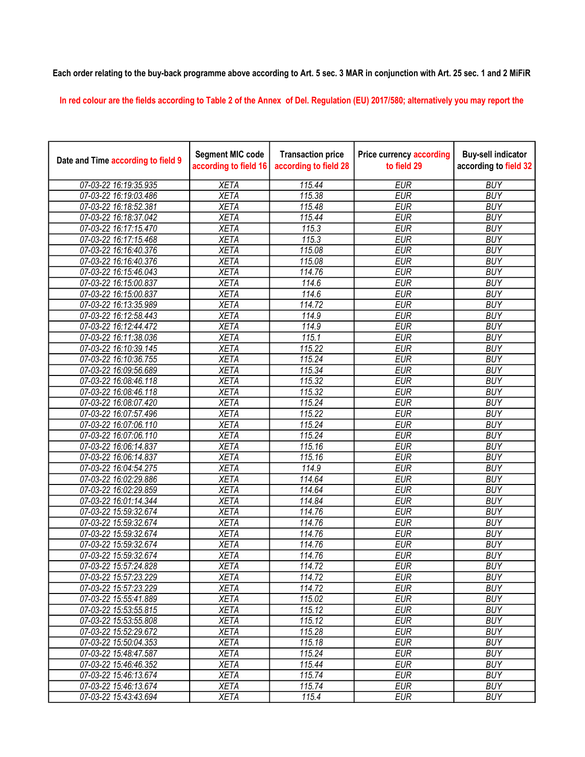## Each order relating to the buy-back programme above according to Art. 5 sec. 3 MAR in conjunction with Art. 25 sec. 1 and 2 MiFiR

In red colour are the fields according to Table 2 of the Annex of Del. Regulation (EU) 2017/580; alternatively you may report the

| Date and Time according to field 9 | <b>Segment MIC code</b><br>according to field 16 | <b>Transaction price</b><br>according to field 28 | <b>Price currency according</b><br>to field 29 | <b>Buy-sell indicator</b><br>according to field 32 |
|------------------------------------|--------------------------------------------------|---------------------------------------------------|------------------------------------------------|----------------------------------------------------|
| 07-03-22 16:19:35.935              | <b>XETA</b>                                      | 115.44                                            | <b>EUR</b>                                     | <b>BUY</b>                                         |
| 07-03-22 16:19:03.486              | <b>XETA</b>                                      | 115.38                                            | <b>EUR</b>                                     | <b>BUY</b>                                         |
| 07-03-22 16:18:52.381              | <b>XETA</b>                                      | 115.48                                            | <b>EUR</b>                                     | <b>BUY</b>                                         |
| 07-03-22 16:18:37.042              | <b>XETA</b>                                      | 115.44                                            | <b>EUR</b>                                     | <b>BUY</b>                                         |
| 07-03-22 16:17:15.470              | <b>XETA</b>                                      | 115.3                                             | <b>EUR</b>                                     | <b>BUY</b>                                         |
| 07-03-22 16:17:15.468              | <b>XETA</b>                                      | 115.3                                             | <b>EUR</b>                                     | <b>BUY</b>                                         |
| 07-03-22 16:16:40.376              | <b>XETA</b>                                      | 115.08                                            | <b>EUR</b>                                     | <b>BUY</b>                                         |
| 07-03-22 16:16:40.376              | <b>XETA</b>                                      | 115.08                                            | <b>EUR</b>                                     | <b>BUY</b>                                         |
| 07-03-22 16:15:46.043              | <b>XETA</b>                                      | 114.76                                            | <b>EUR</b>                                     | <b>BUY</b>                                         |
| 07-03-22 16:15:00.837              | <b>XETA</b>                                      | 114.6                                             | <b>EUR</b>                                     | <b>BUY</b>                                         |
| 07-03-22 16:15:00.837              | <b>XETA</b>                                      | 114.6                                             | <b>EUR</b>                                     | <b>BUY</b>                                         |
| 07-03-22 16:13:35.989              | <b>XETA</b>                                      | 114.72                                            | <b>EUR</b>                                     | <b>BUY</b>                                         |
| 07-03-22 16:12:58.443              | <b>XETA</b>                                      | 114.9                                             | <b>EUR</b>                                     | <b>BUY</b>                                         |
| 07-03-22 16:12:44.472              | <b>XETA</b>                                      | 114.9                                             | <b>EUR</b>                                     | <b>BUY</b>                                         |
| 07-03-22 16:11:38.036              | <b>XETA</b>                                      | 115.1                                             | <b>EUR</b>                                     | <b>BUY</b>                                         |
| 07-03-22 16:10:39.145              | <b>XETA</b>                                      | 115.22                                            | <b>EUR</b>                                     | <b>BUY</b>                                         |
| 07-03-22 16:10:36.755              | <b>XETA</b>                                      | 115.24                                            | <b>EUR</b>                                     | <b>BUY</b>                                         |
| 07-03-22 16:09:56.689              | <b>XETA</b>                                      | 115.34                                            | <b>EUR</b>                                     | <b>BUY</b>                                         |
| 07-03-22 16:08:46.118              | <b>XETA</b>                                      | 115.32                                            | <b>EUR</b>                                     | <b>BUY</b>                                         |
| 07-03-22 16:08:46.118              | <b>XETA</b>                                      | 115.32                                            | <b>EUR</b>                                     | <b>BUY</b>                                         |
| 07-03-22 16:08:07.420              | <b>XETA</b>                                      | 115.24                                            | <b>EUR</b>                                     | <b>BUY</b>                                         |
| 07-03-22 16:07:57.496              | <b>XETA</b>                                      | 115.22                                            | <b>EUR</b>                                     | <b>BUY</b>                                         |
| 07-03-22 16:07:06.110              | <b>XETA</b>                                      | 115.24                                            | <b>EUR</b>                                     | <b>BUY</b>                                         |
| 07-03-22 16:07:06.110              | <b>XETA</b>                                      | 115.24                                            | <b>EUR</b>                                     | <b>BUY</b>                                         |
| 07-03-22 16:06:14.837              | <b>XETA</b>                                      | 115.16                                            | <b>EUR</b>                                     | <b>BUY</b>                                         |
| 07-03-22 16:06:14.837              | <b>XETA</b>                                      | 115.16                                            | <b>EUR</b>                                     | <b>BUY</b>                                         |
| 07-03-22 16:04:54.275              | <b>XETA</b>                                      | 114.9                                             | <b>EUR</b>                                     | <b>BUY</b>                                         |
| 07-03-22 16:02:29.886              | <b>XETA</b>                                      | 114.64                                            | <b>EUR</b>                                     | <b>BUY</b>                                         |
| 07-03-22 16:02:29.859              | <b>XETA</b>                                      | 114.64                                            | <b>EUR</b>                                     | <b>BUY</b>                                         |
| 07-03-22 16:01:14.344              | <b>XETA</b>                                      | 114.84                                            | <b>EUR</b>                                     | <b>BUY</b>                                         |
| 07-03-22 15:59:32.674              | <b>XETA</b>                                      | 114.76                                            | <b>EUR</b>                                     | <b>BUY</b>                                         |
| 07-03-22 15:59:32.674              | <b>XETA</b>                                      | 114.76                                            | <b>EUR</b>                                     | <b>BUY</b>                                         |
| 07-03-22 15:59:32.674              | <b>XETA</b>                                      | 114.76                                            | <b>EUR</b>                                     | <b>BUY</b>                                         |
| 07-03-22 15:59:32.674              | <b>XETA</b>                                      | 114.76                                            | <b>EUR</b>                                     | <b>BUY</b>                                         |
| 07-03-22 15:59:32.674              | <b>XETA</b>                                      | 114.76                                            | <b>EUR</b>                                     | <b>BUY</b>                                         |
| 07-03-22 15:57:24.828              | <b>XETA</b>                                      | 114.72                                            | <b>EUR</b>                                     | <b>BUY</b>                                         |
| 07-03-22 15:57:23.229              | <b>XETA</b>                                      | 114.72                                            | <b>EUR</b>                                     | <b>BUY</b>                                         |
| 07-03-22 15:57:23.229              | <b>XETA</b>                                      | 114.72                                            | <b>EUR</b>                                     | <b>BUY</b>                                         |
| 07-03-22 15:55:41.889              | <b>XETA</b>                                      | 115.02                                            | <b>EUR</b>                                     | <b>BUY</b>                                         |
| 07-03-22 15:53:55.815              | <b>XETA</b>                                      | 115.12                                            | <b>EUR</b>                                     | <b>BUY</b>                                         |
| 07-03-22 15:53:55.808              | <b>XETA</b>                                      | 115.12                                            | <b>EUR</b>                                     | <b>BUY</b>                                         |
| 07-03-22 15:52:29.672              | <b>XETA</b>                                      | 115.28                                            | <b>EUR</b>                                     | <b>BUY</b>                                         |
| 07-03-22 15:50:04.353              | <b>XETA</b>                                      | 115.18                                            | <b>EUR</b>                                     | <b>BUY</b>                                         |
| 07-03-22 15:48:47.587              | <b>XETA</b>                                      | 115.24                                            | <b>EUR</b>                                     | <b>BUY</b>                                         |
| 07-03-22 15:46:46.352              | <b>XETA</b>                                      | 115.44                                            | <b>EUR</b>                                     | <b>BUY</b>                                         |
| 07-03-22 15:46:13.674              | <b>XETA</b>                                      | 115.74                                            | EUR                                            | <b>BUY</b>                                         |
| 07-03-22 15:46:13.674              | <b>XETA</b>                                      | 115.74                                            | EUR                                            | <b>BUY</b>                                         |
| 07-03-22 15:43:43.694              | <b>XETA</b>                                      | 115.4                                             | <b>EUR</b>                                     | <b>BUY</b>                                         |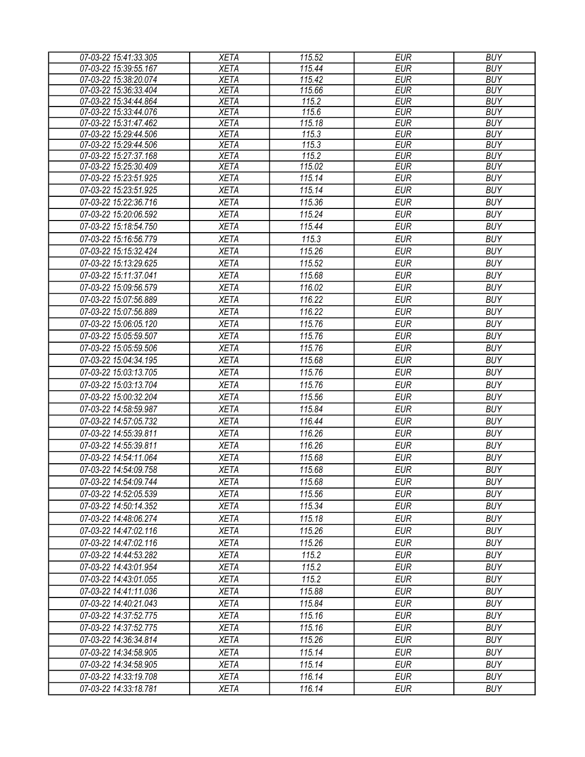| 07-03-22 15:41:33.305 | <b>XETA</b> | 115.52 | <b>EUR</b> | <b>BUY</b> |
|-----------------------|-------------|--------|------------|------------|
| 07-03-22 15:39:55.167 | <b>XETA</b> | 115.44 | <b>EUR</b> | <b>BUY</b> |
| 07-03-22 15:38:20.074 | <b>XETA</b> | 115.42 | <b>EUR</b> | <b>BUY</b> |
| 07-03-22 15:36:33.404 | <b>XETA</b> | 115.66 | <b>EUR</b> | <b>BUY</b> |
| 07-03-22 15:34:44.864 | <b>XETA</b> | 115.2  | <b>EUR</b> | <b>BUY</b> |
| 07-03-22 15:33:44.076 | <b>XETA</b> | 115.6  | <b>EUR</b> | <b>BUY</b> |
| 07-03-22 15:31:47.462 | <b>XETA</b> | 115.18 | <b>EUR</b> | <b>BUY</b> |
| 07-03-22 15:29:44.506 | <b>XETA</b> | 115.3  | <b>EUR</b> | <b>BUY</b> |
| 07-03-22 15:29:44.506 | <b>XETA</b> | 115.3  | <b>EUR</b> | <b>BUY</b> |
| 07-03-22 15:27:37.168 | <b>XETA</b> | 115.2  | <b>EUR</b> | <b>BUY</b> |
| 07-03-22 15:25:30.409 | <b>XETA</b> | 115.02 | <b>EUR</b> | <b>BUY</b> |
| 07-03-22 15:23:51.925 | <b>XETA</b> | 115.14 | <b>EUR</b> | <b>BUY</b> |
| 07-03-22 15:23:51.925 | <b>XETA</b> | 115.14 | <b>EUR</b> | <b>BUY</b> |
| 07-03-22 15:22:36.716 | <b>XETA</b> | 115.36 | <b>EUR</b> | <b>BUY</b> |
| 07-03-22 15:20:06.592 | <b>XETA</b> | 115.24 | <b>EUR</b> | <b>BUY</b> |
| 07-03-22 15:18:54.750 | <b>XETA</b> | 115.44 | <b>EUR</b> | <b>BUY</b> |
| 07-03-22 15:16:56.779 | <b>XETA</b> | 115.3  | <b>EUR</b> | <b>BUY</b> |
| 07-03-22 15:15:32.424 | <b>XETA</b> | 115.26 | <b>EUR</b> | <b>BUY</b> |
| 07-03-22 15:13:29.625 | <b>XETA</b> | 115.52 | <b>EUR</b> | <b>BUY</b> |
| 07-03-22 15:11:37.041 | <b>XETA</b> | 115.68 | <b>EUR</b> | <b>BUY</b> |
| 07-03-22 15:09:56.579 | <b>XETA</b> | 116.02 | <b>EUR</b> | <b>BUY</b> |
| 07-03-22 15:07:56.889 | <b>XETA</b> | 116.22 | <b>EUR</b> | <b>BUY</b> |
| 07-03-22 15:07:56.889 | <b>XETA</b> | 116.22 | <b>EUR</b> | <b>BUY</b> |
| 07-03-22 15:06:05.120 | <b>XETA</b> | 115.76 | <b>EUR</b> | <b>BUY</b> |
| 07-03-22 15:05:59.507 | <b>XETA</b> | 115.76 | <b>EUR</b> | <b>BUY</b> |
| 07-03-22 15:05:59.506 | <b>XETA</b> | 115.76 | <b>EUR</b> | <b>BUY</b> |
| 07-03-22 15:04:34.195 | <b>XETA</b> | 115.68 | <b>EUR</b> | <b>BUY</b> |
| 07-03-22 15:03:13.705 | <b>XETA</b> | 115.76 | <b>EUR</b> | <b>BUY</b> |
|                       |             | 115.76 | <b>EUR</b> | <b>BUY</b> |
| 07-03-22 15:03:13.704 | <b>XETA</b> |        |            |            |
| 07-03-22 15:00:32.204 | <b>XETA</b> | 115.56 | <b>EUR</b> | <b>BUY</b> |
| 07-03-22 14:58:59.987 | <b>XETA</b> | 115.84 | <b>EUR</b> | <b>BUY</b> |
| 07-03-22 14:57:05.732 | <b>XETA</b> | 116.44 | <b>EUR</b> | <b>BUY</b> |
| 07-03-22 14:55:39.811 | <b>XETA</b> | 116.26 | <b>EUR</b> | <b>BUY</b> |
| 07-03-22 14:55:39.811 | <b>XETA</b> | 116.26 | <b>EUR</b> | <b>BUY</b> |
| 07-03-22 14:54:11.064 | <b>XETA</b> | 115.68 | <b>EUR</b> | <b>BUY</b> |
| 07-03-22 14:54:09.758 | <b>XETA</b> | 115.68 | <b>EUR</b> | <b>BUY</b> |
| 07-03-22 14:54:09.744 | <b>XETA</b> | 115.68 | <b>EUR</b> | <b>BUY</b> |
| 07-03-22 14:52:05.539 | <b>XETA</b> | 115.56 | <b>EUR</b> | <b>BUY</b> |
| 07-03-22 14:50:14.352 | <b>XETA</b> | 115.34 | <b>EUR</b> | <b>BUY</b> |
| 07-03-22 14:48:06.274 | <b>XETA</b> | 115.18 | <b>EUR</b> | <b>BUY</b> |
| 07-03-22 14:47:02.116 | <b>XETA</b> | 115.26 | <b>EUR</b> | <b>BUY</b> |
| 07-03-22 14:47:02.116 | <b>XETA</b> | 115.26 | <b>EUR</b> | <b>BUY</b> |
| 07-03-22 14:44:53.282 | <b>XETA</b> | 115.2  | <b>EUR</b> | <b>BUY</b> |
| 07-03-22 14:43:01.954 | <b>XETA</b> | 115.2  | <b>EUR</b> | <b>BUY</b> |
| 07-03-22 14:43:01.055 | <b>XETA</b> | 115.2  | <b>EUR</b> | <b>BUY</b> |
| 07-03-22 14:41:11.036 | <b>XETA</b> | 115.88 | <b>EUR</b> | <b>BUY</b> |
| 07-03-22 14:40:21.043 | XETA        | 115.84 | <b>EUR</b> | <b>BUY</b> |
| 07-03-22 14:37:52.775 | <b>XETA</b> | 115.16 | <b>EUR</b> | <b>BUY</b> |
| 07-03-22 14:37:52.775 | <b>XETA</b> | 115.16 | <b>EUR</b> | <b>BUY</b> |
| 07-03-22 14:36:34.814 | <b>XETA</b> | 115.26 | <b>EUR</b> | <b>BUY</b> |
| 07-03-22 14:34:58.905 | <b>XETA</b> | 115.14 | <b>EUR</b> | <b>BUY</b> |
| 07-03-22 14:34:58.905 | <b>XETA</b> | 115.14 | <b>EUR</b> | <b>BUY</b> |
| 07-03-22 14:33:19.708 | <b>XETA</b> | 116.14 | <b>EUR</b> | <b>BUY</b> |
| 07-03-22 14:33:18.781 | <b>XETA</b> | 116.14 | <b>EUR</b> | <b>BUY</b> |
|                       |             |        |            |            |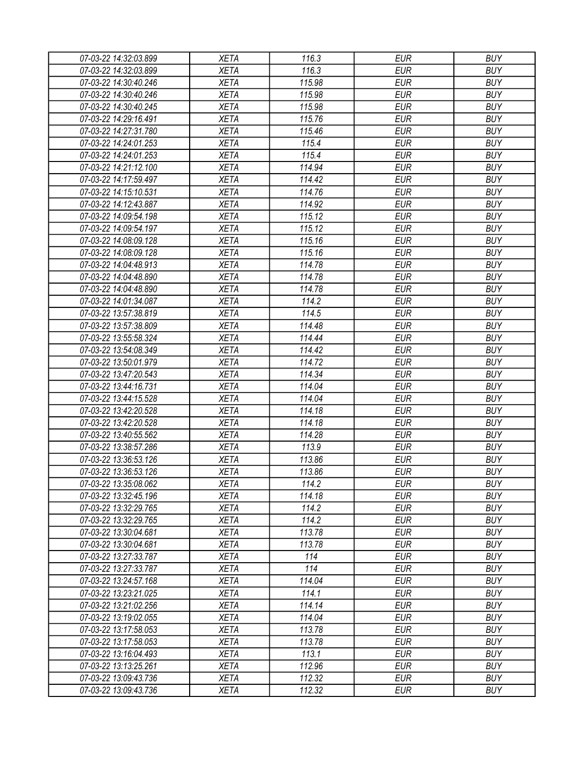| 07-03-22 14:32:03.899                          | <b>XETA</b>                | 116.3      | <b>EUR</b>               | <b>BUY</b> |
|------------------------------------------------|----------------------------|------------|--------------------------|------------|
| 07-03-22 14:32:03.899                          | <b>XETA</b>                | 116.3      | <b>EUR</b>               | <b>BUY</b> |
| 07-03-22 14:30:40.246                          | <b>XETA</b>                | 115.98     | <b>EUR</b>               | <b>BUY</b> |
| 07-03-22 14:30:40.246                          | <b>XETA</b>                | 115.98     | <b>EUR</b>               | <b>BUY</b> |
| 07-03-22 14:30:40.245                          | <b>XETA</b>                | 115.98     | <b>EUR</b>               | <b>BUY</b> |
| 07-03-22 14:29:16.491                          | <b>XETA</b>                | 115.76     | <b>EUR</b>               | <b>BUY</b> |
| 07-03-22 14:27:31.780                          | <b>XETA</b>                | 115.46     | <b>EUR</b>               | <b>BUY</b> |
| 07-03-22 14:24:01.253                          | <b>XETA</b>                | 115.4      | <b>EUR</b>               | <b>BUY</b> |
| 07-03-22 14:24:01.253                          | <b>XETA</b>                | 115.4      | <b>EUR</b>               | <b>BUY</b> |
| 07-03-22 14:21:12.100                          | <b>XETA</b>                | 114.94     | <b>EUR</b>               | <b>BUY</b> |
| 07-03-22 14:17:59.497                          | <b>XETA</b>                | 114.42     | <b>EUR</b>               | <b>BUY</b> |
| 07-03-22 14:15:10.531                          | <b>XETA</b>                | 114.76     | <b>EUR</b>               | <b>BUY</b> |
| 07-03-22 14:12:43.887                          | <b>XETA</b>                | 114.92     | <b>EUR</b>               | <b>BUY</b> |
| 07-03-22 14:09:54.198                          | <b>XETA</b>                | 115.12     | <b>EUR</b>               | <b>BUY</b> |
| 07-03-22 14:09:54.197                          | <b>XETA</b>                | 115.12     | <b>EUR</b>               | <b>BUY</b> |
| 07-03-22 14:08:09.128                          | <b>XETA</b>                | 115.16     | <b>EUR</b>               | <b>BUY</b> |
| 07-03-22 14:08:09.128                          | <b>XETA</b>                | 115.16     | <b>EUR</b>               | <b>BUY</b> |
| 07-03-22 14:04:48.913                          | <b>XETA</b>                | 114.78     | <b>EUR</b>               | <b>BUY</b> |
| 07-03-22 14:04:48.890                          | <b>XETA</b>                | 114.78     | <b>EUR</b>               | <b>BUY</b> |
| 07-03-22 14:04:48.890                          | <b>XETA</b>                | 114.78     | <b>EUR</b>               | <b>BUY</b> |
| 07-03-22 14:01:34.087                          | <b>XETA</b>                | 114.2      | <b>EUR</b>               | <b>BUY</b> |
| 07-03-22 13:57:38.819                          | <b>XETA</b>                | 114.5      | <b>EUR</b>               | <b>BUY</b> |
| 07-03-22 13:57:38.809                          | <b>XETA</b>                | 114.48     | <b>EUR</b>               | <b>BUY</b> |
| 07-03-22 13:55:58.324                          | <b>XETA</b>                | 114.44     | <b>EUR</b>               | <b>BUY</b> |
| 07-03-22 13:54:08.349                          | <b>XETA</b>                | 114.42     | <b>EUR</b>               | <b>BUY</b> |
| 07-03-22 13:50:01.979                          | <b>XETA</b>                | 114.72     | <b>EUR</b>               | <b>BUY</b> |
| 07-03-22 13:47:20.543                          | <b>XETA</b>                | 114.34     | <b>EUR</b>               | <b>BUY</b> |
| 07-03-22 13:44:16.731                          | <b>XETA</b>                | 114.04     | <b>EUR</b>               | <b>BUY</b> |
| 07-03-22 13:44:15.528                          | <b>XETA</b>                | 114.04     | <b>EUR</b>               | <b>BUY</b> |
| 07-03-22 13:42:20.528                          | <b>XETA</b>                | 114.18     | <b>EUR</b>               | <b>BUY</b> |
| 07-03-22 13:42:20.528                          | <b>XETA</b>                | 114.18     | <b>EUR</b>               | <b>BUY</b> |
| 07-03-22 13:40:55.562                          | <b>XETA</b>                | 114.28     | <b>EUR</b>               | <b>BUY</b> |
| 07-03-22 13:38:57.286                          | <b>XETA</b>                | 113.9      | <b>EUR</b>               | <b>BUY</b> |
| 07-03-22 13:36:53.126                          | <b>XETA</b>                | 113.86     | <b>EUR</b>               | <b>BUY</b> |
| 07-03-22 13:36:53.126                          | <b>XETA</b>                | 113.86     | <b>EUR</b>               | <b>BUY</b> |
| 07-03-22 13:35:08.062                          | <b>XETA</b>                | 114.2      | <b>EUR</b>               | <b>BUY</b> |
| 07-03-22 13:32:45.196                          | <b>XETA</b>                | 114.18     | <b>EUR</b>               | <b>BUY</b> |
| 07-03-22 13:32:29.765                          | <b>XETA</b>                | 114.2      | <b>EUR</b>               | <b>BUY</b> |
| 07-03-22 13:32:29.765                          | <b>XETA</b>                | 114.2      | <b>EUR</b>               | <b>BUY</b> |
| 07-03-22 13:30:04.681                          | <b>XETA</b>                | 113.78     | <b>EUR</b>               | <b>BUY</b> |
| 07-03-22 13:30:04.681                          | <b>XETA</b>                | 113.78     | <b>EUR</b>               | <b>BUY</b> |
|                                                |                            |            |                          | <b>BUY</b> |
| 07-03-22 13:27:33.787                          | <b>XETA</b><br><b>XETA</b> | 114<br>114 | <b>EUR</b>               | <b>BUY</b> |
| 07-03-22 13:27:33.787<br>07-03-22 13:24:57.168 | <b>XETA</b>                | 114.04     | <b>EUR</b><br><b>EUR</b> | <b>BUY</b> |
|                                                |                            |            |                          |            |
| 07-03-22 13:23:21.025                          | <b>XETA</b>                | 114.1      | <b>EUR</b>               | <b>BUY</b> |
| 07-03-22 13:21:02.256                          | <b>XETA</b>                | 114.14     | <b>EUR</b>               | <b>BUY</b> |
| 07-03-22 13:19:02.055                          | <b>XETA</b>                | 114.04     | <b>EUR</b>               | <b>BUY</b> |
| 07-03-22 13:17:58.053                          | <b>XETA</b>                | 113.78     | <b>EUR</b>               | <b>BUY</b> |
| 07-03-22 13:17:58.053                          | <b>XETA</b>                | 113.78     | <b>EUR</b>               | <b>BUY</b> |
| 07-03-22 13:16:04.493                          | <b>XETA</b>                | 113.1      | <b>EUR</b>               | <b>BUY</b> |
| 07-03-22 13:13:25.261                          | <b>XETA</b>                | 112.96     | <b>EUR</b>               | <b>BUY</b> |
| 07-03-22 13:09:43.736                          | XETA                       | 112.32     | <b>EUR</b>               | <b>BUY</b> |
| 07-03-22 13:09:43.736                          | XETA                       | 112.32     | <b>EUR</b>               | <b>BUY</b> |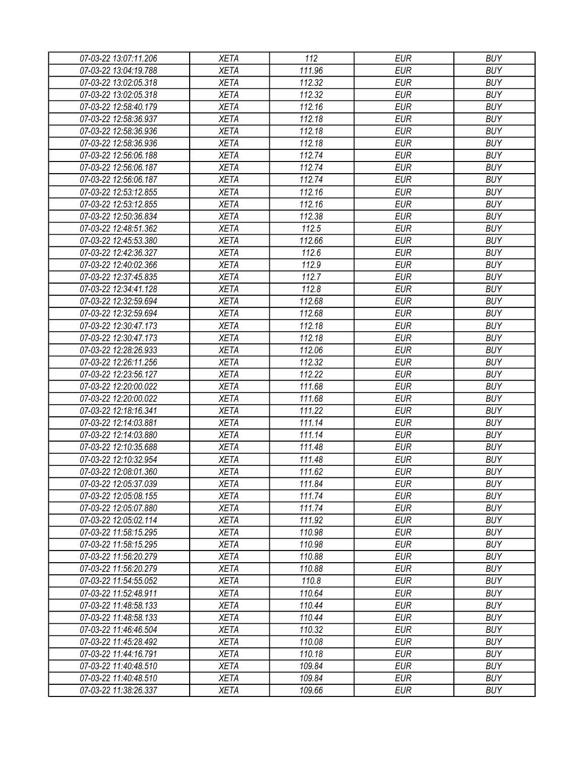| 07-03-22 13:07:11.206<br>07-03-22 13:04:19.788 | <b>XETA</b><br><b>XETA</b> | 112<br>111.96    | <b>EUR</b><br><b>EUR</b> | <b>BUY</b><br><b>BUY</b> |
|------------------------------------------------|----------------------------|------------------|--------------------------|--------------------------|
| 07-03-22 13:02:05.318                          | <b>XETA</b>                | 112.32           | <b>EUR</b>               | <b>BUY</b>               |
| 07-03-22 13:02:05.318                          | <b>XETA</b>                | 112.32           | <b>EUR</b>               | <b>BUY</b>               |
|                                                |                            | 112.16           |                          | <b>BUY</b>               |
| 07-03-22 12:58:40.179                          | <b>XETA</b>                |                  | <b>EUR</b>               | <b>BUY</b>               |
| 07-03-22 12:58:36.937                          | <b>XETA</b>                | 112.18           | <b>EUR</b>               |                          |
| 07-03-22 12:58:36.936                          | <b>XETA</b>                | 112.18           | <b>EUR</b>               | <b>BUY</b>               |
| 07-03-22 12:58:36.936                          | <b>XETA</b>                | 112.18           | <b>EUR</b>               | <b>BUY</b>               |
| 07-03-22 12:56:06.188                          | <b>XETA</b>                | 112.74           | <b>EUR</b>               | <b>BUY</b>               |
| 07-03-22 12:56:06.187                          | <b>XETA</b>                | 112.74           | <b>EUR</b>               | <b>BUY</b>               |
| 07-03-22 12:56:06.187                          | <b>XETA</b>                | 112.74           | <b>EUR</b>               | <b>BUY</b>               |
| 07-03-22 12:53:12.855                          | <b>XETA</b>                | 112.16           | <b>EUR</b>               | <b>BUY</b>               |
| 07-03-22 12:53:12.855                          | <b>XETA</b>                | 112.16           | <b>EUR</b>               | <b>BUY</b>               |
| 07-03-22 12:50:36.834                          | <b>XETA</b>                | 112.38           | <b>EUR</b>               | <b>BUY</b>               |
| 07-03-22 12:48:51.362                          | <b>XETA</b>                | 112.5            | <b>EUR</b>               | <b>BUY</b>               |
| 07-03-22 12:45:53.380                          | <b>XETA</b>                | 112.66           | <b>EUR</b>               | <b>BUY</b>               |
| 07-03-22 12:42:36.327                          | <b>XETA</b>                | 112.6            | <b>EUR</b>               | <b>BUY</b>               |
| 07-03-22 12:40:02.366                          | <b>XETA</b>                | 112.9            | <b>EUR</b>               | <b>BUY</b>               |
| 07-03-22 12:37:45.835                          | <b>XETA</b>                | 112.7            | <b>EUR</b>               | <b>BUY</b>               |
| 07-03-22 12:34:41.128                          | <b>XETA</b>                | 112.8            | <b>EUR</b>               | <b>BUY</b>               |
| 07-03-22 12:32:59.694                          | <b>XETA</b>                | 112.68           | <b>EUR</b>               | <b>BUY</b>               |
| 07-03-22 12:32:59.694                          | <b>XETA</b>                | 112.68           | <b>EUR</b>               | <b>BUY</b>               |
| 07-03-22 12:30:47.173                          | <b>XETA</b>                | 112.18           | <b>EUR</b>               | <b>BUY</b>               |
| 07-03-22 12:30:47.173                          | <b>XETA</b>                | 112.18           | <b>EUR</b>               | <b>BUY</b>               |
| 07-03-22 12:28:26.933                          | <b>XETA</b>                | 112.06           | <b>EUR</b>               | <b>BUY</b>               |
| 07-03-22 12:26:11.256                          | <b>XETA</b>                | 112.32           | <b>EUR</b>               | <b>BUY</b>               |
| 07-03-22 12:23:56.127                          | <b>XETA</b>                | 112.22           | <b>EUR</b>               | <b>BUY</b>               |
| 07-03-22 12:20:00.022                          | <b>XETA</b>                | 111.68           | <b>EUR</b>               | <b>BUY</b>               |
| 07-03-22 12:20:00.022                          | <b>XETA</b>                | 111.68           | <b>EUR</b>               | <b>BUY</b>               |
| 07-03-22 12:18:16.341                          | <b>XETA</b>                | 111.22           | <b>EUR</b>               | <b>BUY</b>               |
| 07-03-22 12:14:03.881                          | <b>XETA</b>                | 111.14           | <b>EUR</b>               | <b>BUY</b>               |
| 07-03-22 12:14:03.880                          | <b>XETA</b>                | 111.14           | <b>EUR</b>               | <b>BUY</b>               |
| 07-03-22 12:10:35.688                          | <b>XETA</b>                | 111.48           | <b>EUR</b>               | <b>BUY</b>               |
| 07-03-22 12:10:32.954                          | <b>XETA</b>                | 111.48           | <b>EUR</b>               | <b>BUY</b>               |
| 07-03-22 12:08:01.360                          | <b>XETA</b>                | 111.62           | <b>EUR</b>               | <b>BUY</b>               |
| 07-03-22 12:05:37.039                          | <b>XETA</b>                | 111.84           | <b>EUR</b>               | <b>BUY</b>               |
| 07-03-22 12:05:08.155                          | <b>XETA</b>                | 111.74           | <b>EUR</b>               | <b>BUY</b>               |
| 07-03-22 12:05:07.880                          | <b>XETA</b>                | 111.74           | <b>EUR</b>               | <b>BUY</b>               |
| 07-03-22 12:05:02.114                          | <b>XETA</b>                | 111.92           | <b>EUR</b>               | <b>BUY</b>               |
| 07-03-22 11:58:15.295                          | <b>XETA</b>                | 110.98           | <b>EUR</b>               | <b>BUY</b>               |
| 07-03-22 11:58:15.295                          | <b>XETA</b>                | 110.98           | <b>EUR</b>               | <b>BUY</b>               |
| 07-03-22 11:56:20.279                          | <b>XETA</b>                | 110.88           | <b>EUR</b>               | <b>BUY</b>               |
| 07-03-22 11:56:20.279                          | <b>XETA</b>                | 110.88           | <b>EUR</b>               | <b>BUY</b>               |
| 07-03-22 11:54:55.052                          | <b>XETA</b>                | 110.8            | <b>EUR</b>               | <b>BUY</b>               |
| 07-03-22 11:52:48.911                          | <b>XETA</b>                | 110.64           | <b>EUR</b>               | <b>BUY</b>               |
| 07-03-22 11:48:58.133                          | <b>XETA</b>                | 110.44           | <b>EUR</b>               | <b>BUY</b>               |
| 07-03-22 11:48:58.133                          | <b>XETA</b>                | 110.44           | <b>EUR</b>               | <b>BUY</b>               |
| 07-03-22 11:46:46.504                          | XETA                       | 110.32           | <b>EUR</b>               | <b>BUY</b>               |
| 07-03-22 11:45:28.492                          | <b>XETA</b>                | 110.08           | <b>EUR</b>               | <b>BUY</b>               |
| 07-03-22 11:44:16.791                          | <b>XETA</b>                | 110.18           | <b>EUR</b>               | <b>BUY</b>               |
|                                                |                            |                  |                          | <b>BUY</b>               |
| 07-03-22 11:40:48.510                          | <b>XETA</b>                | 109.84<br>109.84 | <b>EUR</b><br><b>EUR</b> | <b>BUY</b>               |
| 07-03-22 11:40:48.510                          | XETA                       |                  |                          |                          |
| 07-03-22 11:38:26.337                          | <b>XETA</b>                | 109.66           | <b>EUR</b>               | <b>BUY</b>               |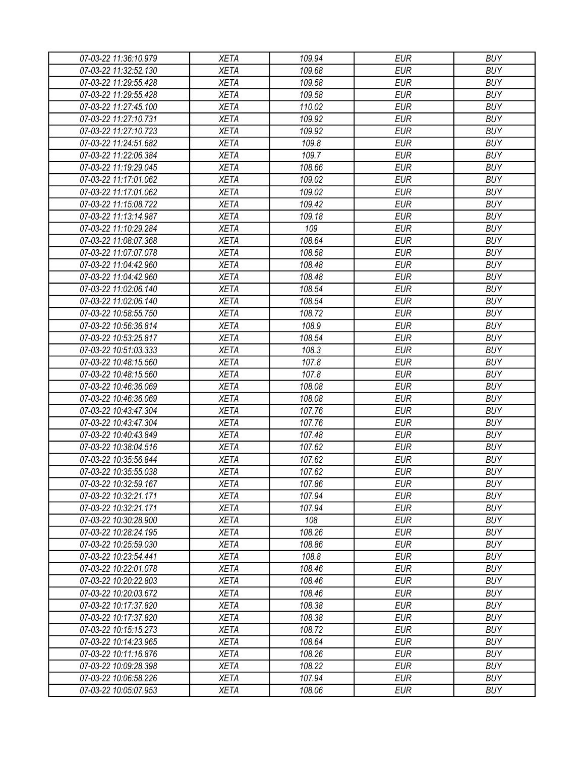| 07-03-22 11:36:10.979 | <b>XETA</b> | 109.94 | <b>EUR</b> | <b>BUY</b> |
|-----------------------|-------------|--------|------------|------------|
| 07-03-22 11:32:52.130 | <b>XETA</b> | 109.68 | <b>EUR</b> | <b>BUY</b> |
| 07-03-22 11:29:55.428 | <b>XETA</b> | 109.58 | <b>EUR</b> | <b>BUY</b> |
| 07-03-22 11:29:55.428 | <b>XETA</b> | 109.58 | <b>EUR</b> | <b>BUY</b> |
| 07-03-22 11:27:45.100 | <b>XETA</b> | 110.02 | <b>EUR</b> | <b>BUY</b> |
| 07-03-22 11:27:10.731 | <b>XETA</b> | 109.92 | <b>EUR</b> | <b>BUY</b> |
| 07-03-22 11:27:10.723 | <b>XETA</b> | 109.92 | <b>EUR</b> | <b>BUY</b> |
| 07-03-22 11:24:51.682 | <b>XETA</b> | 109.8  | <b>EUR</b> | <b>BUY</b> |
| 07-03-22 11:22:06.384 | <b>XETA</b> | 109.7  | <b>EUR</b> | <b>BUY</b> |
| 07-03-22 11:19:29.045 | <b>XETA</b> | 108.66 | <b>EUR</b> | <b>BUY</b> |
| 07-03-22 11:17:01.062 | <b>XETA</b> | 109.02 | <b>EUR</b> | <b>BUY</b> |
| 07-03-22 11:17:01.062 | <b>XETA</b> | 109.02 | <b>EUR</b> | <b>BUY</b> |
| 07-03-22 11:15:08.722 | <b>XETA</b> | 109.42 | <b>EUR</b> | <b>BUY</b> |
| 07-03-22 11:13:14.987 | <b>XETA</b> | 109.18 | <b>EUR</b> | <b>BUY</b> |
| 07-03-22 11:10:29.284 | <b>XETA</b> | 109    | <b>EUR</b> | <b>BUY</b> |
| 07-03-22 11:08:07.368 | <b>XETA</b> | 108.64 | <b>EUR</b> | <b>BUY</b> |
| 07-03-22 11:07:07.078 | <b>XETA</b> | 108.58 | <b>EUR</b> | <b>BUY</b> |
| 07-03-22 11:04:42.960 | <b>XETA</b> | 108.48 | <b>EUR</b> | <b>BUY</b> |
| 07-03-22 11:04:42.960 | <b>XETA</b> | 108.48 | <b>EUR</b> | <b>BUY</b> |
| 07-03-22 11:02:06.140 | <b>XETA</b> | 108.54 | <b>EUR</b> | <b>BUY</b> |
| 07-03-22 11:02:06.140 | <b>XETA</b> | 108.54 | <b>EUR</b> | <b>BUY</b> |
| 07-03-22 10:58:55.750 | <b>XETA</b> | 108.72 | <b>EUR</b> | <b>BUY</b> |
| 07-03-22 10:56:36.814 | <b>XETA</b> | 108.9  | <b>EUR</b> | <b>BUY</b> |
| 07-03-22 10:53:25.817 | <b>XETA</b> | 108.54 | <b>EUR</b> | <b>BUY</b> |
| 07-03-22 10:51:03.333 | <b>XETA</b> | 108.3  | <b>EUR</b> | <b>BUY</b> |
| 07-03-22 10:48:15.560 | <b>XETA</b> | 107.8  | <b>EUR</b> | <b>BUY</b> |
| 07-03-22 10:48:15.560 | <b>XETA</b> | 107.8  | <b>EUR</b> | <b>BUY</b> |
| 07-03-22 10:46:36.069 | <b>XETA</b> | 108.08 | <b>EUR</b> | <b>BUY</b> |
| 07-03-22 10:46:36.069 | <b>XETA</b> | 108.08 | <b>EUR</b> | <b>BUY</b> |
| 07-03-22 10:43:47.304 | <b>XETA</b> | 107.76 | <b>EUR</b> | <b>BUY</b> |
| 07-03-22 10:43:47.304 | <b>XETA</b> | 107.76 | <b>EUR</b> | <b>BUY</b> |
| 07-03-22 10:40:43.849 | <b>XETA</b> | 107.48 | <b>EUR</b> | <b>BUY</b> |
| 07-03-22 10:38:04.516 | <b>XETA</b> | 107.62 | <b>EUR</b> | <b>BUY</b> |
| 07-03-22 10:35:56.844 | <b>XETA</b> | 107.62 | <b>EUR</b> | <b>BUY</b> |
| 07-03-22 10:35:55.038 | <b>XETA</b> | 107.62 | <b>EUR</b> | <b>BUY</b> |
| 07-03-22 10:32:59.167 | <b>XETA</b> | 107.86 | <b>EUR</b> | <b>BUY</b> |
| 07-03-22 10:32:21.171 | <b>XETA</b> | 107.94 | <b>EUR</b> | <b>BUY</b> |
| 07-03-22 10:32:21.171 | <b>XETA</b> | 107.94 | <b>EUR</b> | <b>BUY</b> |
| 07-03-22 10:30:28.900 | <b>XETA</b> | 108    | <b>EUR</b> | <b>BUY</b> |
| 07-03-22 10:28:24.195 | <b>XETA</b> | 108.26 | <b>EUR</b> | <b>BUY</b> |
| 07-03-22 10:25:59.030 | <b>XETA</b> | 108.86 | <b>EUR</b> | <b>BUY</b> |
|                       | <b>XETA</b> | 108.8  | <b>EUR</b> | <b>BUY</b> |
| 07-03-22 10:23:54.441 | <b>XETA</b> | 108.46 | <b>EUR</b> | <b>BUY</b> |
| 07-03-22 10:22:01.078 | <b>XETA</b> | 108.46 | <b>EUR</b> | <b>BUY</b> |
| 07-03-22 10:20:22.803 |             |        |            |            |
| 07-03-22 10:20:03.672 | <b>XETA</b> | 108.46 | <b>EUR</b> | <b>BUY</b> |
| 07-03-22 10:17:37.820 | <b>XETA</b> | 108.38 | <b>EUR</b> | <b>BUY</b> |
| 07-03-22 10:17:37.820 | <b>XETA</b> | 108.38 | <b>EUR</b> | <b>BUY</b> |
| 07-03-22 10:15:15.273 | XETA        | 108.72 | <b>EUR</b> | <b>BUY</b> |
| 07-03-22 10:14:23.965 | <b>XETA</b> | 108.64 | <b>EUR</b> | <b>BUY</b> |
| 07-03-22 10:11:16.876 | <b>XETA</b> | 108.26 | <b>EUR</b> | <b>BUY</b> |
| 07-03-22 10:09:28.398 | <b>XETA</b> | 108.22 | <b>EUR</b> | <b>BUY</b> |
| 07-03-22 10:06:58.226 | XETA        | 107.94 | <b>EUR</b> | <b>BUY</b> |
| 07-03-22 10:05:07.953 | <b>XETA</b> | 108.06 | <b>EUR</b> | <b>BUY</b> |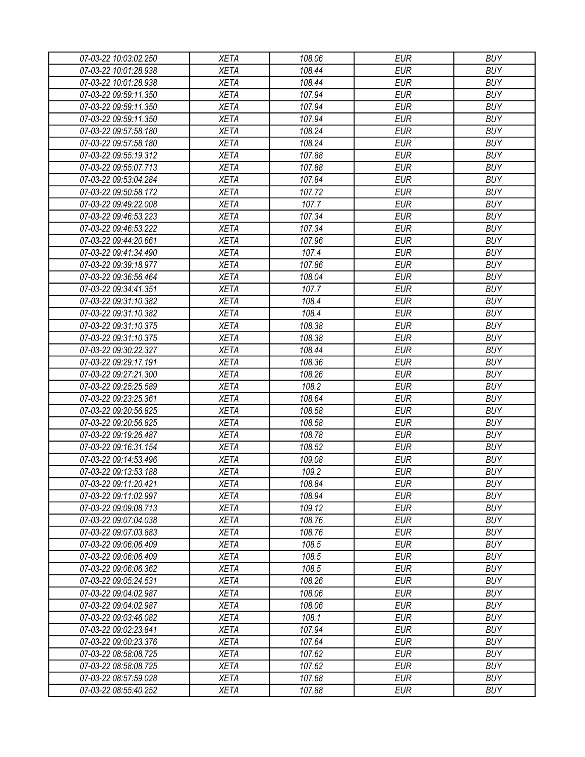| 07-03-22 10:03:02.250 | <b>XETA</b> | 108.06 | <b>EUR</b> | <b>BUY</b> |
|-----------------------|-------------|--------|------------|------------|
| 07-03-22 10:01:28.938 | <b>XETA</b> | 108.44 | <b>EUR</b> | <b>BUY</b> |
| 07-03-22 10:01:28.938 | <b>XETA</b> | 108.44 | <b>EUR</b> | <b>BUY</b> |
| 07-03-22 09:59:11.350 | <b>XETA</b> | 107.94 | <b>EUR</b> | <b>BUY</b> |
| 07-03-22 09:59:11.350 | <b>XETA</b> | 107.94 | <b>EUR</b> | <b>BUY</b> |
| 07-03-22 09:59:11.350 | <b>XETA</b> | 107.94 | <b>EUR</b> | <b>BUY</b> |
| 07-03-22 09:57:58.180 | <b>XETA</b> | 108.24 | <b>EUR</b> | <b>BUY</b> |
| 07-03-22 09:57:58.180 | <b>XETA</b> | 108.24 | <b>EUR</b> | <b>BUY</b> |
| 07-03-22 09:55:19.312 | <b>XETA</b> | 107.88 | <b>EUR</b> | <b>BUY</b> |
| 07-03-22 09:55:07.713 | <b>XETA</b> | 107.88 | <b>EUR</b> | <b>BUY</b> |
| 07-03-22 09:53:04.284 | <b>XETA</b> | 107.84 | <b>EUR</b> | <b>BUY</b> |
| 07-03-22 09:50:58.172 | <b>XETA</b> | 107.72 | <b>EUR</b> | <b>BUY</b> |
| 07-03-22 09:49:22.008 | <b>XETA</b> | 107.7  | <b>EUR</b> | <b>BUY</b> |
| 07-03-22 09:46:53.223 | <b>XETA</b> | 107.34 | <b>EUR</b> | <b>BUY</b> |
| 07-03-22 09:46:53.222 | <b>XETA</b> | 107.34 | <b>EUR</b> | <b>BUY</b> |
| 07-03-22 09:44:20.661 | <b>XETA</b> | 107.96 | <b>EUR</b> | <b>BUY</b> |
| 07-03-22 09:41:34.490 | <b>XETA</b> | 107.4  | <b>EUR</b> | <b>BUY</b> |
| 07-03-22 09:39:18.977 | <b>XETA</b> | 107.86 | <b>EUR</b> | <b>BUY</b> |
| 07-03-22 09:36:56.464 | <b>XETA</b> | 108.04 | <b>EUR</b> | <b>BUY</b> |
| 07-03-22 09:34:41.351 | <b>XETA</b> | 107.7  | <b>EUR</b> | <b>BUY</b> |
| 07-03-22 09:31:10.382 | <b>XETA</b> | 108.4  | <b>EUR</b> | <b>BUY</b> |
| 07-03-22 09:31:10.382 | <b>XETA</b> | 108.4  | <b>EUR</b> | <b>BUY</b> |
| 07-03-22 09:31:10.375 | <b>XETA</b> | 108.38 | <b>EUR</b> | <b>BUY</b> |
| 07-03-22 09:31:10.375 | <b>XETA</b> | 108.38 | <b>EUR</b> | <b>BUY</b> |
| 07-03-22 09:30:22.327 | <b>XETA</b> | 108.44 | <b>EUR</b> | <b>BUY</b> |
| 07-03-22 09:29:17.191 | <b>XETA</b> | 108.36 | <b>EUR</b> | <b>BUY</b> |
| 07-03-22 09:27:21.300 | <b>XETA</b> | 108.26 | <b>EUR</b> | <b>BUY</b> |
| 07-03-22 09:25:25.589 | <b>XETA</b> | 108.2  | <b>EUR</b> | <b>BUY</b> |
| 07-03-22 09:23:25.361 | <b>XETA</b> | 108.64 | <b>EUR</b> | <b>BUY</b> |
| 07-03-22 09:20:56.825 | <b>XETA</b> | 108.58 | <b>EUR</b> | <b>BUY</b> |
| 07-03-22 09:20:56.825 | <b>XETA</b> | 108.58 | <b>EUR</b> | <b>BUY</b> |
|                       | <b>XETA</b> | 108.78 | <b>EUR</b> | <b>BUY</b> |
| 07-03-22 09:19:26.487 |             |        | <b>EUR</b> | <b>BUY</b> |
| 07-03-22 09:16:31.154 | <b>XETA</b> | 108.52 |            |            |
| 07-03-22 09:14:53.496 | <b>XETA</b> | 109.08 | <b>EUR</b> | <b>BUY</b> |
| 07-03-22 09:13:53.188 | <b>XETA</b> | 109.2  | <b>EUR</b> | <b>BUY</b> |
| 07-03-22 09:11:20.421 | <b>XETA</b> | 108.84 | <b>EUR</b> | <b>BUY</b> |
| 07-03-22 09:11:02.997 | <b>XETA</b> | 108.94 | <b>EUR</b> | <b>BUY</b> |
| 07-03-22 09:09:08.713 | <b>XETA</b> | 109.12 | <b>EUR</b> | <b>BUY</b> |
| 07-03-22 09:07:04.038 | <b>XETA</b> | 108.76 | <b>EUR</b> | <b>BUY</b> |
| 07-03-22 09:07:03.883 | <b>XETA</b> | 108.76 | <b>EUR</b> | <b>BUY</b> |
| 07-03-22 09:06:06.409 | <b>XETA</b> | 108.5  | <b>EUR</b> | <b>BUY</b> |
| 07-03-22 09:06:06.409 | <b>XETA</b> | 108.5  | <b>EUR</b> | <b>BUY</b> |
| 07-03-22 09:06:06.362 | <b>XETA</b> | 108.5  | <b>EUR</b> | <b>BUY</b> |
| 07-03-22 09:05:24.531 | <b>XETA</b> | 108.26 | <b>EUR</b> | <b>BUY</b> |
| 07-03-22 09:04:02.987 | <b>XETA</b> | 108.06 | <b>EUR</b> | <b>BUY</b> |
| 07-03-22 09:04:02.987 | <b>XETA</b> | 108.06 | <b>EUR</b> | <b>BUY</b> |
| 07-03-22 09:03:46.082 | <b>XETA</b> | 108.1  | <b>EUR</b> | <b>BUY</b> |
| 07-03-22 09:02:23.841 | XETA        | 107.94 | <b>EUR</b> | <b>BUY</b> |
| 07-03-22 09:00:23.376 | <b>XETA</b> | 107.64 | <b>EUR</b> | <b>BUY</b> |
| 07-03-22 08:58:08.725 | <b>XETA</b> | 107.62 | <b>EUR</b> | <b>BUY</b> |
| 07-03-22 08:58:08.725 | <b>XETA</b> | 107.62 | <b>EUR</b> | <b>BUY</b> |
| 07-03-22 08:57:59.028 | <b>XETA</b> | 107.68 | <b>EUR</b> | <b>BUY</b> |
| 07-03-22 08:55:40.252 | XETA        | 107.88 | <b>EUR</b> | <b>BUY</b> |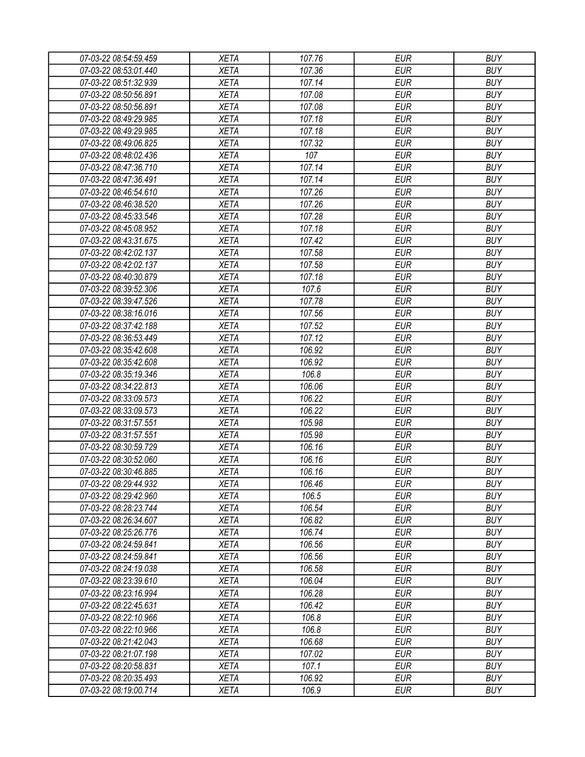| 07-03-22 08:54:59.459 | <b>XETA</b> | 107.76 | <b>EUR</b> | <b>BUY</b> |
|-----------------------|-------------|--------|------------|------------|
| 07-03-22 08:53:01.440 | <b>XETA</b> | 107.36 | <b>EUR</b> | <b>BUY</b> |
| 07-03-22 08:51:32.939 | <b>XETA</b> | 107.14 | <b>EUR</b> | <b>BUY</b> |
| 07-03-22 08:50:56.891 | <b>XETA</b> | 107.08 | <b>EUR</b> | <b>BUY</b> |
| 07-03-22 08:50:56.891 | <b>XETA</b> | 107.08 | <b>EUR</b> | <b>BUY</b> |
| 07-03-22 08:49:29.985 | <b>XETA</b> | 107.18 | <b>EUR</b> | <b>BUY</b> |
| 07-03-22 08:49:29.985 | <b>XETA</b> | 107.18 | <b>EUR</b> | <b>BUY</b> |
| 07-03-22 08:49:06.825 | <b>XETA</b> | 107.32 | <b>EUR</b> | <b>BUY</b> |
| 07-03-22 08:48:02.436 | <b>XETA</b> | 107    | <b>EUR</b> | <b>BUY</b> |
| 07-03-22 08:47:36.710 | <b>XETA</b> | 107.14 | <b>EUR</b> | <b>BUY</b> |
| 07-03-22 08:47:36.491 | <b>XETA</b> | 107.14 | <b>EUR</b> | <b>BUY</b> |
| 07-03-22 08:46:54.610 | <b>XETA</b> | 107.26 | <b>EUR</b> | <b>BUY</b> |
| 07-03-22 08:46:38.520 | <b>XETA</b> | 107.26 | <b>EUR</b> | <b>BUY</b> |
| 07-03-22 08:45:33.546 | <b>XETA</b> | 107.28 | <b>EUR</b> | <b>BUY</b> |
| 07-03-22 08:45:08.952 | <b>XETA</b> | 107.18 | <b>EUR</b> | <b>BUY</b> |
| 07-03-22 08:43:31.675 | <b>XETA</b> | 107.42 | <b>EUR</b> | <b>BUY</b> |
| 07-03-22 08:42:02.137 | <b>XETA</b> | 107.58 | <b>EUR</b> | <b>BUY</b> |
| 07-03-22 08:42:02.137 | <b>XETA</b> | 107.58 | <b>EUR</b> | <b>BUY</b> |
| 07-03-22 08:40:30.879 | <b>XETA</b> | 107.18 | <b>EUR</b> | <b>BUY</b> |
| 07-03-22 08:39:52.306 | <b>XETA</b> | 107.6  | <b>EUR</b> | <b>BUY</b> |
| 07-03-22 08:39:47.526 | <b>XETA</b> | 107.78 | <b>EUR</b> | <b>BUY</b> |
|                       | <b>XETA</b> |        |            |            |
| 07-03-22 08:38:16.016 |             | 107.56 | <b>EUR</b> | <b>BUY</b> |
| 07-03-22 08:37:42.188 | <b>XETA</b> | 107.52 | <b>EUR</b> | <b>BUY</b> |
| 07-03-22 08:36:53.449 | <b>XETA</b> | 107.12 | <b>EUR</b> | <b>BUY</b> |
| 07-03-22 08:35:42.608 | <b>XETA</b> | 106.92 | <b>EUR</b> | <b>BUY</b> |
| 07-03-22 08:35:42.608 | <b>XETA</b> | 106.92 | <b>EUR</b> | <b>BUY</b> |
| 07-03-22 08:35:19.346 | <b>XETA</b> | 106.8  | <b>EUR</b> | <b>BUY</b> |
| 07-03-22 08:34:22.813 | <b>XETA</b> | 106.06 | <b>EUR</b> | <b>BUY</b> |
| 07-03-22 08:33:09.573 | <b>XETA</b> | 106.22 | <b>EUR</b> | <b>BUY</b> |
| 07-03-22 08:33:09.573 | <b>XETA</b> | 106.22 | <b>EUR</b> | <b>BUY</b> |
| 07-03-22 08:31:57.551 | <b>XETA</b> | 105.98 | <b>EUR</b> | <b>BUY</b> |
| 07-03-22 08:31:57.551 | <b>XETA</b> | 105.98 | <b>EUR</b> | <b>BUY</b> |
| 07-03-22 08:30:59.729 | <b>XETA</b> | 106.16 | <b>EUR</b> | <b>BUY</b> |
| 07-03-22 08:30:52.060 | <b>XETA</b> | 106.16 | <b>EUR</b> | <b>BUY</b> |
| 07-03-22 08:30:46.885 | <b>XETA</b> | 106.16 | <b>EUR</b> | <b>BUY</b> |
| 07-03-22 08:29:44.932 | <b>XETA</b> | 106.46 | <b>EUR</b> | <b>BUY</b> |
| 07-03-22 08:29:42.960 | <b>XETA</b> | 106.5  | <b>EUR</b> | <b>BUY</b> |
| 07-03-22 08:28:23.744 | <b>XETA</b> | 106.54 | <b>EUR</b> | <b>BUY</b> |
| 07-03-22 08:26:34.607 | <b>XETA</b> | 106.82 | <b>EUR</b> | <b>BUY</b> |
| 07-03-22 08:25:26.776 | <b>XETA</b> | 106.74 | <b>EUR</b> | <b>BUY</b> |
| 07-03-22 08:24:59.841 | <b>XETA</b> | 106.56 | <b>EUR</b> | <b>BUY</b> |
| 07-03-22 08:24:59.841 | <b>XETA</b> | 106.56 | <b>EUR</b> | <b>BUY</b> |
| 07-03-22 08:24:19.038 | <b>XETA</b> | 106.58 | <b>EUR</b> | <b>BUY</b> |
| 07-03-22 08:23:39.610 | <b>XETA</b> | 106.04 | <b>EUR</b> | <b>BUY</b> |
| 07-03-22 08:23:16.994 | <b>XETA</b> | 106.28 | <b>EUR</b> | <b>BUY</b> |
| 07-03-22 08:22:45.631 | <b>XETA</b> | 106.42 | <b>EUR</b> | <b>BUY</b> |
| 07-03-22 08:22:10.966 | <b>XETA</b> | 106.8  | <b>EUR</b> | <b>BUY</b> |
| 07-03-22 08:22:10.966 | XETA        | 106.8  | <b>EUR</b> | <b>BUY</b> |
| 07-03-22 08:21:42.043 | <b>XETA</b> | 106.68 | <b>EUR</b> | <b>BUY</b> |
| 07-03-22 08:21:07.198 | <b>XETA</b> | 107.02 | <b>EUR</b> | <b>BUY</b> |
| 07-03-22 08:20:58.831 | <b>XETA</b> | 107.1  | <b>EUR</b> | <b>BUY</b> |
| 07-03-22 08:20:35.493 | XETA        | 106.92 | <b>EUR</b> | <b>BUY</b> |
| 07-03-22 08:19:00.714 | XETA        | 106.9  | <b>EUR</b> | <b>BUY</b> |
|                       |             |        |            |            |